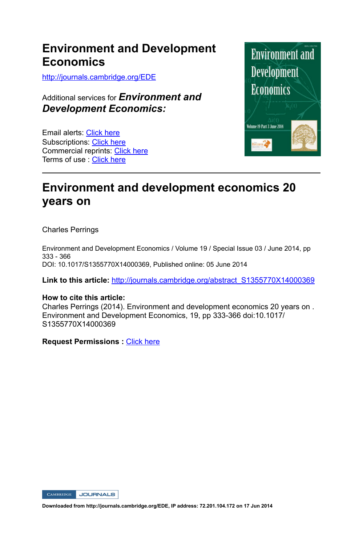## **Environment and Development Economics**

http://journals.cambridge.org/EDE

Additional services for *Environment and Development Economics:*

Email alerts: Click here Subscriptions: Click here Commercial reprints: Click here Terms of use : Click here



# **Environment and development economics 20 years on**

Charles Perrings

Environment and Development Economics / Volume 19 / Special Issue 03 / June 2014, pp 333 - 366 DOI: 10.1017/S1355770X14000369, Published online: 05 June 2014

Link to this article: http://journals.cambridge.org/abstract\_S1355770X14000369

## **How to cite this article:**

Charles Perrings (2014). Environment and development economics 20 years on . Environment and Development Economics, 19, pp 333-366 doi:10.1017/ S1355770X14000369

**Request Permissions :** Click here

CAMBRIDGE JOURNALS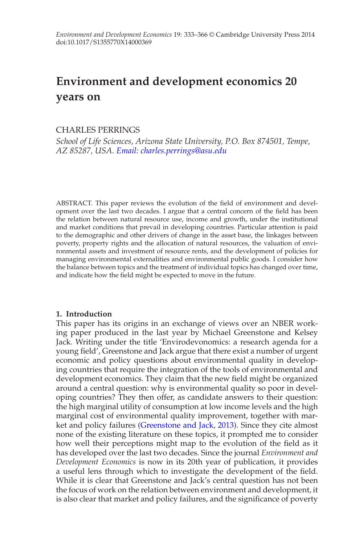# **Environment and development economics 20 years on**

## CHARLES PERRINGS

*School of Life Sciences, Arizona State University, P.O. Box 874501, Tempe, AZ 85287, USA. [Email: charles.perrings@asu.edu](mailto:charles.perrings@asu.edu)*

ABSTRACT. This paper reviews the evolution of the field of environment and development over the last two decades. I argue that a central concern of the field has been the relation between natural resource use, income and growth, under the institutional and market conditions that prevail in developing countries. Particular attention is paid to the demographic and other drivers of change in the asset base, the linkages between poverty, property rights and the allocation of natural resources, the valuation of environmental assets and investment of resource rents, and the development of policies for managing environmental externalities and environmental public goods. I consider how the balance between topics and the treatment of individual topics has changed over time, and indicate how the field might be expected to move in the future.

## **1. Introduction**

This paper has its origins in an exchange of views over an NBER working paper produced in the last year by Michael Greenstone and Kelsey Jack. Writing under the title 'Envirodevonomics: a research agenda for a young field', Greenstone and Jack argue that there exist a number of urgent economic and policy questions about environmental quality in developing countries that require the integration of the tools of environmental and development economics. They claim that the new field might be organized around a central question: why is environmental quality so poor in developing countries? They then offer, as candidate answers to their question: the high marginal utility of consumption at low income levels and the high marginal cost of environmental quality improvement, together with market and policy failures [\(Greenstone and Jack](#page-27-0), [2013\)](#page-27-0). Since they cite almost none of the existing literature on these topics, it prompted me to consider how well their perceptions might map to the evolution of the field as it has developed over the last two decades. Since the journal *Environment and Development Economics* is now in its 20th year of publication, it provides a useful lens through which to investigate the development of the field. While it is clear that Greenstone and Jack's central question has not been the focus of work on the relation between environment and development, it is also clear that market and policy failures, and the significance of poverty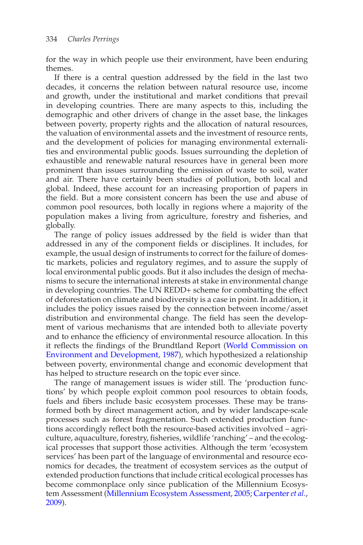for the way in which people use their environment, have been enduring themes.

If there is a central question addressed by the field in the last two decades, it concerns the relation between natural resource use, income and growth, under the institutional and market conditions that prevail in developing countries. There are many aspects to this, including the demographic and other drivers of change in the asset base, the linkages between poverty, property rights and the allocation of natural resources, the valuation of environmental assets and the investment of resource rents, and the development of policies for managing environmental externalities and environmental public goods. Issues surrounding the depletion of exhaustible and renewable natural resources have in general been more prominent than issues surrounding the emission of waste to soil, water and air. There have certainly been studies of pollution, both local and global. Indeed, these account for an increasing proportion of papers in the field. But a more consistent concern has been the use and abuse of common pool resources, both locally in regions where a majority of the population makes a living from agriculture, forestry and fisheries, and globally.

The range of policy issues addressed by the field is wider than that addressed in any of the component fields or disciplines. It includes, for example, the usual design of instruments to correct for the failure of domestic markets, policies and regulatory regimes, and to assure the supply of local environmental public goods. But it also includes the design of mechanisms to secure the international interests at stake in environmental change in developing countries. The UN REDD+ scheme for combatting the effect of deforestation on climate and biodiversity is a case in point. In addition, it includes the policy issues raised by the connection between income/asset distribution and environmental change. The field has seen the development of various mechanisms that are intended both to alleviate poverty and to enhance the efficiency of environmental resource allocation. In this it reflects the findings of the B[rundtland](#page-33-0) [Report](#page-33-0) [\(](#page-33-0)World Commission on Environment and Development, [1987\)](#page-33-0), which hypothesized a relationship between poverty, environmental change and economic development that has helped to structure research on the topic ever since.

The range of management issues is wider still. The 'production functions' by which people exploit common pool resources to obtain foods, fuels and fibers include basic ecosystem processes. These may be transformed both by direct management action, and by wider landscape-scale processes such as forest fragmentation. Such extended production functions accordingly reflect both the resource-based activities involved – agriculture, aquaculture, forestry, fisheries, wildlife 'ranching' – and the ecological processes that support those activities. Although the term 'ecosystem services' has been part of the language of environmental and resource economics for decades, the treatment of ecosystem services as the output of extended production functions that include critical ecological processes has become commonplace only since publication of the Millennium Ecosystem Assessment [\(Millennium Ecosystem Assessment,](#page-30-0) [2005;](#page-30-0) [Carpenter](#page-25-0)*et al.*, [2009](#page-25-0)).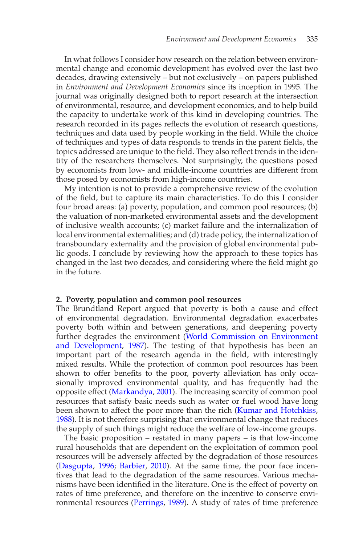In what follows I consider how research on the relation between environmental change and economic development has evolved over the last two decades, drawing extensively – but not exclusively – on papers published in *Environment and Development Economics* since its inception in 1995. The journal was originally designed both to report research at the intersection of environmental, resource, and development economics, and to help build the capacity to undertake work of this kind in developing countries. The research recorded in its pages reflects the evolution of research questions, techniques and data used by people working in the field. While the choice of techniques and types of data responds to trends in the parent fields, the topics addressed are unique to the field. They also reflect trends in the identity of the researchers themselves. Not surprisingly, the questions posed by economists from low- and middle-income countries are different from those posed by economists from high-income countries.

My intention is not to provide a comprehensive review of the evolution of the field, but to capture its main characteristics. To do this I consider four broad areas: (a) poverty, population, and common pool resources; (b) the valuation of non-marketed environmental assets and the development of inclusive wealth accounts; (c) market failure and the internalization of local environmental externalities; and (d) trade policy, the internalization of transboundary externality and the provision of global environmental public goods. I conclude by reviewing how the approach to these topics has changed in the last two decades, and considering where the field might go in the future.

#### **2. Poverty, population and common pool resources**

The Brundtland Report argued that poverty is both a cause and effect of environmental degradation. Environmental degradation exacerbates poverty both within and between generations, and deepening poverty further degrades [the environment \(](#page-33-0)World Commission on Environment and Development, [1987](#page-33-0)). The testing of that hypothesis has been an important part of the research agenda in the field, with interestingly mixed results. While the protection of common pool resources has been shown to offer benefits to the poor, poverty alleviation has only occasionally improved environmental quality, and has frequently had the opposite effect [\(Markandya](#page-29-0), [2001\)](#page-29-0). The increasing scarcity of common pool resources that satisfy basic needs such as water or fuel wood have long been shown to affect the poor more than the rich [\(Kumar and Hotchkiss,](#page-29-1) [1988](#page-29-1)). It is not therefore surprising that environmental change that reduces the supply of such things might reduce the welfare of low-income groups.

The basic proposition – restated in many papers – is that low-income rural households that are dependent on the exploitation of common pool resources will be adversely affected by the degradation of those resources [\(Dasgupta](#page-25-1), [1996;](#page-25-1) [Barbier](#page-23-0), [2010\)](#page-23-0). At the same time, the poor face incentives that lead to the degradation of the same resources. Various mechanisms have been identified in the literature. One is the effect of poverty on rates of time preference, and therefore on the incentive to conserve environmental resources [\(Perrings,](#page-31-0) [1989\)](#page-31-0). A study of rates of time preference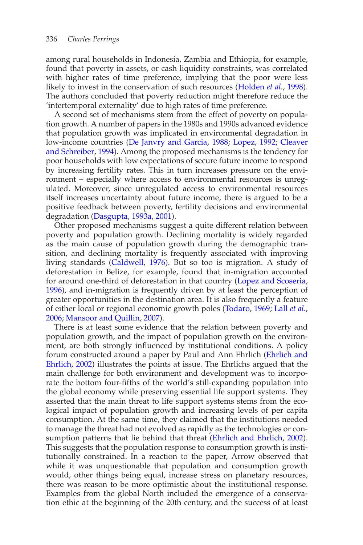among rural households in Indonesia, Zambia and Ethiopia, for example, found that poverty in assets, or cash liquidity constraints, was correlated with higher rates of time preference, implying that the poor were less likely to invest in the conservation of such resources [\(Holden](#page-28-0) *et al.*, [1998\)](#page-28-0). The authors concluded that poverty reduction might therefore reduce the 'intertemporal externality' due to high rates of time preference.

A second set of mechanisms stem from the effect of poverty on population growth. A number of papers in the 1980s and 1990s advanced evidence that population growth was implicated in environmental degradation in low-income c[ountries](#page-25-2) [\(De Janvry and Garcia](#page-26-0)[,](#page-25-2) [1988;](#page-26-0) [Lopez](#page-29-2), [1992](#page-29-2); Cleaver and Schreiber, [1994](#page-25-2)). Among the proposed mechanisms is the tendency for poor households with low expectations of secure future income to respond by increasing fertility rates. This in turn increases pressure on the environment – especially where access to environmental resources is unregulated. Moreover, since unregulated access to environmental resources itself increases uncertainty about future income, there is argued to be a positive feedback between poverty, fertility decisions and environmental degradation [\(Dasgupta,](#page-25-3) [1993a](#page-25-3), [2001\)](#page-26-1).

Other proposed mechanisms suggest a quite different relation between poverty and population growth. Declining mortality is widely regarded as the main cause of population growth during the demographic transition, and declining mortality is frequently associated with improving living standards [\(Caldwell](#page-25-4), [1976](#page-25-4)). But so too is migration. A study of deforestation in Belize, for example, found that in-migration accounted for around one-third of deforestation in that country [\(Lopez and Scoseria](#page-29-3), [1996](#page-29-3)), and in-migration is frequently driven by at least the perception of greater opportunities in the destination area. It is also frequently a feature of either local or regional economic growth poles [\(Todaro](#page-33-1), [1969](#page-33-1); Lall *[et al.](#page-29-4)*, [2006](#page-29-4); [Mansoor and Quillin,](#page-29-5) [2007\)](#page-29-5).

There is at least some evidence that the relation between poverty and population growth, and the impact of population growth on the environment, are both strongly influenced by institutional conditions. A policy forum [constructed](#page-26-2) [around](#page-26-2) [a](#page-26-2) [paper](#page-26-2) [by](#page-26-2) [Paul](#page-26-2) [and](#page-26-2) [Ann](#page-26-2) [Ehrlich](#page-26-2) [\(](#page-26-2)Ehrlich and Ehrlich, [2002](#page-26-2)) illustrates the points at issue. The Ehrlichs argued that the main challenge for both environment and development was to incorporate the bottom four-fifths of the world's still-expanding population into the global economy while preserving essential life support systems. They asserted that the main threat to life support systems stems from the ecological impact of population growth and increasing levels of per capita consumption. At the same time, they claimed that the institutions needed to manage the threat had not evolved as rapidly as the technologies or consumption patterns that lie behind that threat [\(Ehrlich and Ehrlich](#page-26-2), [2002\)](#page-26-2). This suggests that the population response to consumption growth is institutionally constrained. In a reaction to the paper, Arrow observed that while it was unquestionable that population and consumption growth would, other things being equal, increase stress on planetary resources, there was reason to be more optimistic about the institutional response. Examples from the global North included the emergence of a conservation ethic at the beginning of the 20th century, and the success of at least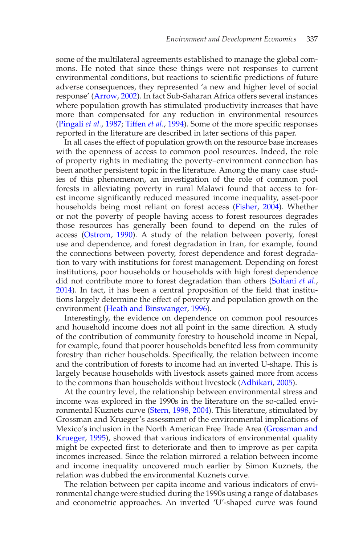some of the multilateral agreements established to manage the global commons. He noted that since these things were not responses to current environmental conditions, but reactions to scientific predictions of future adverse consequences, they represented 'a new and higher level of social response' [\(Arrow](#page-23-1), [2002\)](#page-23-1). In fact Sub-Saharan Africa offers several instances where population growth has stimulated productivity increases that have more than compensated for any reduction in environmental resources [\(Pingali](#page-31-1) *et al.*, [1987](#page-31-1); [Tiffen](#page-33-2) *et al.*, [1994](#page-33-2)). Some of the more specific responses reported in the literature are described in later sections of this paper.

In all cases the effect of population growth on the resource base increases with the openness of access to common pool resources. Indeed, the role of property rights in mediating the poverty–environment connection has been another persistent topic in the literature. Among the many case studies of this phenomenon, an investigation of the role of common pool forests in alleviating poverty in rural Malawi found that access to forest income significantly reduced measured income inequality, asset-poor households being most reliant on forest access [\(Fisher](#page-26-3), [2004](#page-26-3)). Whether or not the poverty of people having access to forest resources degrades those resources has generally been found to depend on the rules of access [\(Ostrom,](#page-30-1) [1990](#page-30-1)). A study of the relation between poverty, forest use and dependence, and forest degradation in Iran, for example, found the connections between poverty, forest dependence and forest degradation to vary with institutions for forest management. Depending on forest institutions, poor households or households with high forest dependence did not contribute more to forest degradation than others [\(Soltani](#page-32-0) *et al.*, [2014](#page-32-0)). In fact, it has been a central proposition of the field that institutions largely determine the effect of poverty and population growth on the environment [\(Heath and Binswanger](#page-27-1), [1996\)](#page-27-1).

Interestingly, the evidence on dependence on common pool resources and household income does not all point in the same direction. A study of the contribution of community forestry to household income in Nepal, for example, found that poorer households benefited less from community forestry than richer households. Specifically, the relation between income and the contribution of forests to income had an inverted U-shape. This is largely because households with livestock assets gained more from access to the commons than households without livestock [\(Adhikari,](#page-23-2) [2005](#page-23-2)).

At the country level, the relationship between environmental stress and income was explored in the 1990s in the literature on the so-called environmental Kuznets curve [\(Stern](#page-32-1), [1998,](#page-32-1) [2004\)](#page-32-2). This literature, stimulated by Grossman and Krueger's assessment of the environmental implications of Mexico'[s inclusion in the North American Free Trade Area \(](#page-27-2)Grossman and Krueger, [1995\)](#page-27-2), showed that various indicators of environmental quality might be expected first to deteriorate and then to improve as per capita incomes increased. Since the relation mirrored a relation between income and income inequality uncovered much earlier by Simon Kuznets, the relation was dubbed the environmental Kuznets curve.

The relation between per capita income and various indicators of environmental change were studied during the 1990s using a range of databases and econometric approaches. An inverted 'U'-shaped curve was found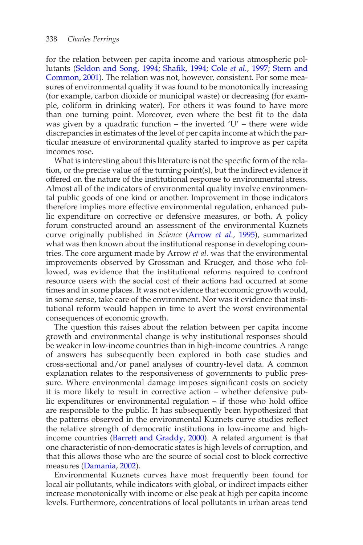for the relation between per capita income and various atmospheric pollutants [\(Seldon and Song](#page-32-3)[,](#page-33-3) [1994;](#page-32-3) [Shafik,](#page-32-4) [1994;](#page-32-4) Cole *[et al.](#page-25-5)*, [1997](#page-25-5); Stern and Common, [2001\)](#page-33-3). The relation was not, however, consistent. For some measures of environmental quality it was found to be monotonically increasing (for example, carbon dioxide or municipal waste) or decreasing (for example, coliform in drinking water). For others it was found to have more than one turning point. Moreover, even where the best fit to the data was given by a quadratic function – the inverted  $'U'$  – there were wide discrepancies in estimates of the level of per capita income at which the particular measure of environmental quality started to improve as per capita incomes rose.

What is interesting about this literature is not the specific form of the relation, or the precise value of the turning point(s), but the indirect evidence it offered on the nature of the institutional response to environmental stress. Almost all of the indicators of environmental quality involve environmental public goods of one kind or another. Improvement in those indicators therefore implies more effective environmental regulation, enhanced public expenditure on corrective or defensive measures, or both. A policy forum constructed around an assessment of the environmental Kuznets curve originally published in *Science* [\(Arrow](#page-23-3) *et al*., [1995\)](#page-23-3), summarized what was then known about the institutional response in developing countries. The core argument made by Arrow *et al.* was that the environmental improvements observed by Grossman and Krueger, and those who followed, was evidence that the institutional reforms required to confront resource users with the social cost of their actions had occurred at some times and in some places. It was not evidence that economic growth would, in some sense, take care of the environment. Nor was it evidence that institutional reform would happen in time to avert the worst environmental consequences of economic growth.

The question this raises about the relation between per capita income growth and environmental change is why institutional responses should be weaker in low-income countries than in high-income countries. A range of answers has subsequently been explored in both case studies and cross-sectional and/or panel analyses of country-level data. A common explanation relates to the responsiveness of governments to public pressure. Where environmental damage imposes significant costs on society it is more likely to result in corrective action – whether defensive public expenditures or environmental regulation – if those who hold office are responsible to the public. It has subsequently been hypothesized that the patterns observed in the environmental Kuznets curve studies reflect the relative strength of democratic institutions in low-income and highincome countries [\(Barrett and Graddy,](#page-24-0) [2000](#page-24-0)). A related argument is that one characteristic of non-democratic states is high levels of corruption, and that this allows those who are the source of social cost to block corrective measures [\(Damania,](#page-25-6) [2002](#page-25-6)).

Environmental Kuznets curves have most frequently been found for local air pollutants, while indicators with global, or indirect impacts either increase monotonically with income or else peak at high per capita income levels. Furthermore, concentrations of local pollutants in urban areas tend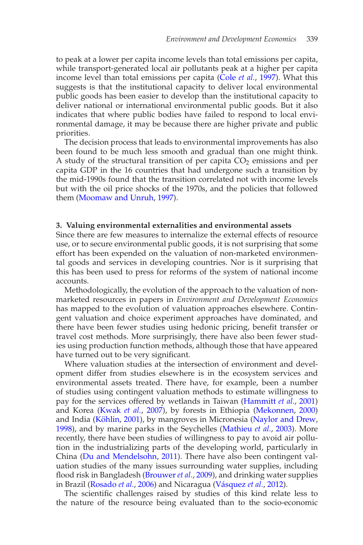to peak at a lower per capita income levels than total emissions per capita, while transport-generated local air pollutants peak at a higher per capita income level than total emissions per capita [\(Cole](#page-25-5) *et al.*, [1997](#page-25-5)). What this suggests is that the institutional capacity to deliver local environmental public goods has been easier to develop than the institutional capacity to deliver national or international environmental public goods. But it also indicates that where public bodies have failed to respond to local environmental damage, it may be because there are higher private and public priorities.

The decision process that leads to environmental improvements has also been found to be much less smooth and gradual than one might think. A study of the structural transition of per capita  $CO<sub>2</sub>$  emissions and per capita GDP in the 16 countries that had undergone such a transition by the mid-1990s found that the transition correlated not with income levels but with the oil price shocks of the 1970s, and the policies that followed them [\(Moomaw and Unruh](#page-30-2), [1997\)](#page-30-2).

## **3. Valuing environmental externalities and environmental assets**

Since there are few measures to internalize the external effects of resource use, or to secure environmental public goods, it is not surprising that some effort has been expended on the valuation of non-marketed environmental goods and services in developing countries. Nor is it surprising that this has been used to press for reforms of the system of national income accounts.

Methodologically, the evolution of the approach to the valuation of nonmarketed resources in papers in *Environment and Development Economics* has mapped to the evolution of valuation approaches elsewhere. Contingent valuation and choice experiment approaches have dominated, and there have been fewer studies using hedonic pricing, benefit transfer or travel cost methods. More surprisingly, there have also been fewer studies using production function methods, although those that have appeared have turned out to be very significant.

Where valuation studies at the intersection of environment and development differ from studies elsewhere is in the ecosystem services and environmental assets treated. There have, for example, been a number of studies using contingent valuation methods to estimate willingness to pay for the services offered by wetlands in Taiwan [\(Hammitt](#page-27-3) *et al.*, [2001](#page-27-3)) and Korea [\(Kwak](#page-29-6) *et al.*, [2007](#page-29-6)), by forests in Ethiopia [\(Mekonnen,](#page-30-3) [2000](#page-30-3)) and India (Köhlin, [2001](#page-29-7)), by mangroves in Micronesia [\(Naylor and Drew,](#page-30-4) [1998](#page-30-4)), and by marine parks in the Seychelles [\(Mathieu](#page-30-5) *et al.*, [2003](#page-30-5)). More recently, there have been studies of willingness to pay to avoid air pollution in the industrializing parts of the developing world, particularly in China [\(Du and Mendelsohn](#page-26-4), [2011\)](#page-26-4). There have also been contingent valuation studies of the many issues surrounding water supplies, including flood risk in Bangladesh [\(Brouwer](#page-24-1) *et al.*, [2009](#page-24-1)), and drinking water supplies in Brazil [\(Rosado](#page-32-5) *et al.*, [2006\)](#page-32-5) and Nicaragua (Vásquez *et al.*, [2012](#page-33-4)).

The scientific challenges raised by studies of this kind relate less to the nature of the resource being evaluated than to the socio-economic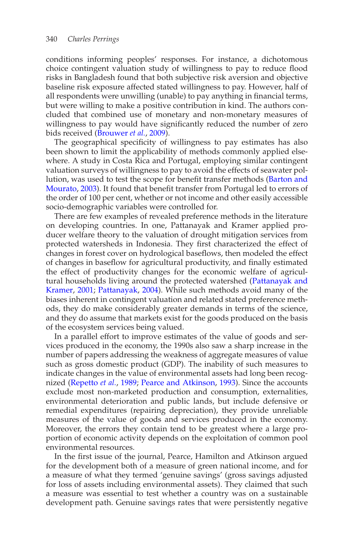conditions informing peoples' responses. For instance, a dichotomous choice contingent valuation study of willingness to pay to reduce flood risks in Bangladesh found that both subjective risk aversion and objective baseline risk exposure affected stated willingness to pay. However, half of all respondents were unwilling (unable) to pay anything in financial terms, but were willing to make a positive contribution in kind. The authors concluded that combined use of monetary and non-monetary measures of willingness to pay would have significantly reduced the number of zero bids received [\(Brouwer](#page-24-1) *et al.*, [2009](#page-24-1)).

The geographical specificity of willingness to pay estimates has also been shown to limit the applicability of methods commonly applied elsewhere. A study in Costa Rica and Portugal, employing similar contingent valuation surveys of willingness to pay to avoid the effects of seawater pollution, [was used to test the scope for benefit transfer methods \(](#page-24-2)Barton and Mourato, [2003\)](#page-24-2). It found that benefit transfer from Portugal led to errors of the order of 100 per cent, whether or not income and other easily accessible socio-demographic variables were controlled for.

There are few examples of revealed preference methods in the literature on developing countries. In one, Pattanayak and Kramer applied producer welfare theory to the valuation of drought mitigation services from protected watersheds in Indonesia. They first characterized the effect of changes in forest cover on hydrological baseflows, then modeled the effect of changes in baseflow for agricultural productivity, and finally estimated the effect of productivity changes for the economic welfare of agricultural h[ouseholds living around the protected watershed \(](#page-30-6)Pattanayak and Kramer, [2001;](#page-30-6) [Pattanayak](#page-30-7), [2004\)](#page-30-7). While such methods avoid many of the biases inherent in contingent valuation and related stated preference methods, they do make considerably greater demands in terms of the science, and they do assume that markets exist for the goods produced on the basis of the ecosystem services being valued.

In a parallel effort to improve estimates of the value of goods and services produced in the economy, the 1990s also saw a sharp increase in the number of papers addressing the weakness of aggregate measures of value such as gross domestic product (GDP). The inability of such measures to indicate changes in the value of environmental assets had long been recognized [\(Repetto](#page-32-6) *et al.*, [1989](#page-32-6); [Pearce and Atkinson](#page-31-2), [1993](#page-31-2)). Since the accounts exclude most non-marketed production and consumption, externalities, environmental deterioration and public lands, but include defensive or remedial expenditures (repairing depreciation), they provide unreliable measures of the value of goods and services produced in the economy. Moreover, the errors they contain tend to be greatest where a large proportion of economic activity depends on the exploitation of common pool environmental resources.

In the first issue of the journal, Pearce, Hamilton and Atkinson argued for the development both of a measure of green national income, and for a measure of what they termed 'genuine savings' (gross savings adjusted for loss of assets including environmental assets). They claimed that such a measure was essential to test whether a country was on a sustainable development path. Genuine savings rates that were persistently negative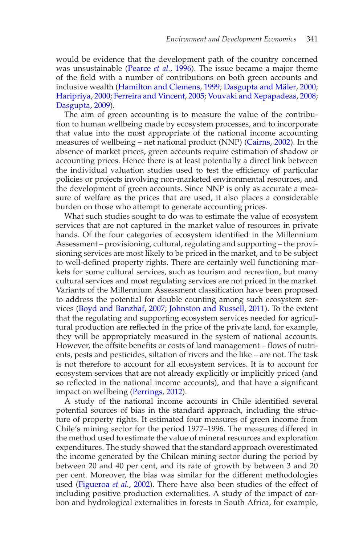would be evidence that the development path of the country concerned was unsustainable [\(Pearce](#page-31-3) *et al.*, [1996](#page-31-3)). The issue became a major theme of the field with a number of contributions on both green accounts and inclusive wealth [\(Hamilton and Clemens](#page-27-4), [1999;](#page-27-4) Dasgupta and Mäler, [2000;](#page-26-5) [Haripriya,](#page-27-5) [2000;](#page-27-5) [Ferreira and Vincent](#page-26-6), [2005;](#page-26-6) [Vouvaki and Xepapadeas,](#page-33-5) [2008;](#page-33-5) [Dasgupta](#page-26-7), [2009\)](#page-26-7).

The aim of green accounting is to measure the value of the contribution to human wellbeing made by ecosystem processes, and to incorporate that value into the most appropriate of the national income accounting measures of wellbeing – net national product (NNP) [\(Cairns,](#page-25-7) [2002\)](#page-25-7). In the absence of market prices, green accounts require estimation of shadow or accounting prices. Hence there is at least potentially a direct link between the individual valuation studies used to test the efficiency of particular policies or projects involving non-marketed environmental resources, and the development of green accounts. Since NNP is only as accurate a measure of welfare as the prices that are used, it also places a considerable burden on those who attempt to generate accounting prices.

What such studies sought to do was to estimate the value of ecosystem services that are not captured in the market value of resources in private hands. Of the four categories of ecosystem identified in the Millennium Assessment – provisioning, cultural, regulating and supporting – the provisioning services are most likely to be priced in the market, and to be subject to well-defined property rights. There are certainly well functioning markets for some cultural services, such as tourism and recreation, but many cultural services and most regulating services are not priced in the market. Variants of the Millennium Assessment classification have been proposed to address the potential for double counting among such ecosystem services [\(Boyd and Banzhaf](#page-24-3), [2007;](#page-24-3) [Johnston and Russell,](#page-28-1) [2011](#page-28-1)). To the extent that the regulating and supporting ecosystem services needed for agricultural production are reflected in the price of the private land, for example, they will be appropriately measured in the system of national accounts. However, the offsite benefits or costs of land management – flows of nutrients, pests and pesticides, siltation of rivers and the like – are not. The task is not therefore to account for all ecosystem services. It is to account for ecosystem services that are not already explicitly or implicitly priced (and so reflected in the national income accounts), and that have a significant impact on wellbeing [\(Perrings,](#page-31-4) [2012](#page-31-4)).

A study of the national income accounts in Chile identified several potential sources of bias in the standard approach, including the structure of property rights. It estimated four measures of green income from Chile's mining sector for the period 1977–1996. The measures differed in the method used to estimate the value of mineral resources and exploration expenditures. The study showed that the standard approach overestimated the income generated by the Chilean mining sector during the period by between 20 and 40 per cent, and its rate of growth by between 3 and 20 per cent. Moreover, the bias was similar for the different methodologies used [\(Figueroa](#page-26-8) *et al.*, [2002\)](#page-26-8). There have also been studies of the effect of including positive production externalities. A study of the impact of carbon and hydrological externalities in forests in South Africa, for example,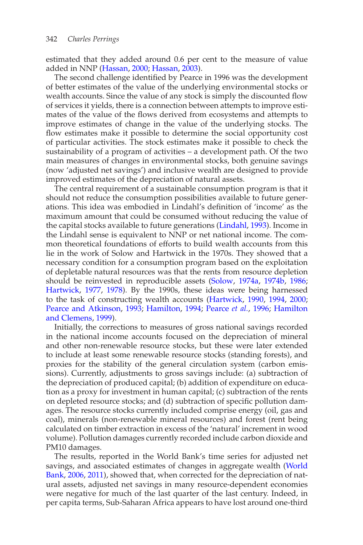estimated that they added around 0.6 per cent to the measure of value added in NNP [\(Hassan,](#page-27-6) [2000;](#page-27-6) [Hassan](#page-27-7), [2003\)](#page-27-7).

The second challenge identified by Pearce in 1996 was the development of better estimates of the value of the underlying environmental stocks or wealth accounts. Since the value of any stock is simply the discounted flow of services it yields, there is a connection between attempts to improve estimates of the value of the flows derived from ecosystems and attempts to improve estimates of change in the value of the underlying stocks. The flow estimates make it possible to determine the social opportunity cost of particular activities. The stock estimates make it possible to check the sustainability of a program of activities – a development path. Of the two main measures of changes in environmental stocks, both genuine savings (now 'adjusted net savings') and inclusive wealth are designed to provide improved estimates of the depreciation of natural assets.

The central requirement of a sustainable consumption program is that it should not reduce the consumption possibilities available to future generations. This idea was embodied in Lindahl's definition of 'income' as the maximum amount that could be consumed without reducing the value of the capital stocks available to future generations [\(Lindahl,](#page-29-8) [1993](#page-29-8)). Income in the Lindahl sense is equivalent to NNP or net national income. The common theoretical foundations of efforts to build wealth accounts from this lie in the work of Solow and Hartwick in the 1970s. They showed that a necessary condition for a consumption program based on the exploitation of depletable natural resources was that the rents from resource depletion should be reinvested in reproducible assets [\(Solow,](#page-32-7) [1974a,](#page-32-7) [1974b,](#page-32-8) [1986](#page-32-9); [Hartwick](#page-27-8), [1977,](#page-27-8) [1978](#page-27-9)). By the 1990s, these ideas were being harnessed to the task of constructing wealth accounts [\(Hartwick,](#page-27-10) [1990,](#page-27-10) [1994,](#page-27-11) [2000](#page-27-12); [Pearce and Atkinson](#page-31-2), [1993](#page-31-2); [Hamilton](#page-27-13)[,](#page-27-4) [1994;](#page-27-13) [Pearce](#page-31-3) *et al.*, [1996](#page-31-3); Hamilton and Clemens, [1999](#page-27-4)).

Initially, the corrections to measures of gross national savings recorded in the national income accounts focused on the depreciation of mineral and other non-renewable resource stocks, but these were later extended to include at least some renewable resource stocks (standing forests), and proxies for the stability of the general circulation system (carbon emissions). Currently, adjustments to gross savings include: (a) subtraction of the depreciation of produced capital; (b) addition of expenditure on education as a proxy for investment in human capital; (c) subtraction of the rents on depleted resource stocks; and (d) subtraction of specific pollution damages. The resource stocks currently included comprise energy (oil, gas and coal), minerals (non-renewable mineral resources) and forest (rent being calculated on timber extraction in excess of the 'natural' increment in wood volume). Pollution damages currently recorded include carbon dioxide and PM10 damages.

The results, reported in the World Bank's time series for adjusted net savi[ngs, and associated estimates of changes in aggregate wealth \(](#page-33-6)World Bank, [2006](#page-33-6), [2011](#page-33-7)), showed that, when corrected for the depreciation of natural assets, adjusted net savings in many resource-dependent economies were negative for much of the last quarter of the last century. Indeed, in per capita terms, Sub-Saharan Africa appears to have lost around one-third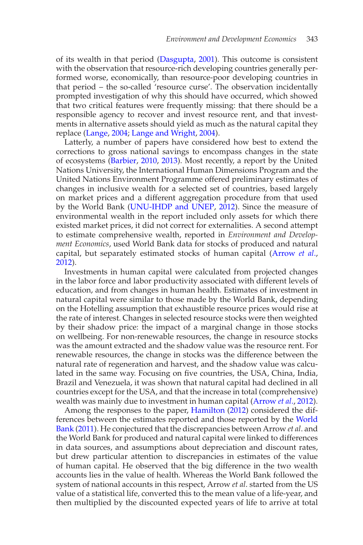of its wealth in that period [\(Dasgupta](#page-26-1), [2001\)](#page-26-1). This outcome is consistent with the observation that resource-rich developing countries generally performed worse, economically, than resource-poor developing countries in that period – the so-called 'resource curse'. The observation incidentally prompted investigation of why this should have occurred, which showed that two critical features were frequently missing: that there should be a responsible agency to recover and invest resource rent, and that investments in alternative assets should yield as much as the natural capital they replace [\(Lange,](#page-29-9) [2004;](#page-29-9) [Lange and Wright,](#page-29-10) [2004\)](#page-29-10).

Latterly, a number of papers have considered how best to extend the corrections to gross national savings to encompass changes in the state of ecosystems [\(Barbier,](#page-23-0) [2010](#page-23-0), [2013\)](#page-23-4). Most recently, a report by the United Nations University, the International Human Dimensions Program and the United Nations Environment Programme offered preliminary estimates of changes in inclusive wealth for a selected set of countries, based largely on market prices and a different aggregation procedure from that used by the World Bank [\(UNU-IHDP and UNEP](#page-33-8), [2012\)](#page-33-8). Since the measure of environmental wealth in the report included only assets for which there existed market prices, it did not correct for externalities. A second attempt to estimate comprehensive wealth, reported in *Environment and Development Economics*, used World Bank data for stocks of produced and natural capital, but separately estimated stocks of human capital [\(Arrow](#page-23-5) *et al*., [2012](#page-23-5)).

Investments in human capital were calculated from projected changes in the labor force and labor productivity associated with different levels of education, and from changes in human health. Estimates of investment in natural capital were similar to those made by the World Bank, depending on the Hotelling assumption that exhaustible resource prices would rise at the rate of interest. Changes in selected resource stocks were then weighted by their shadow price: the impact of a marginal change in those stocks on wellbeing. For non-renewable resources, the change in resource stocks was the amount extracted and the shadow value was the resource rent. For renewable resources, the change in stocks was the difference between the natural rate of regeneration and harvest, and the shadow value was calculated in the same way. Focusing on five countries, the USA, China, India, Brazil and Venezuela, it was shown that natural capital had declined in all countries except for the USA, and that the increase in total (comprehensive) wealth was mainly due to investment in human capital [\(Arrow](#page-23-5) *et al*., [2012\)](#page-23-5).

Among the responses to the paper, [Hamilton](#page-27-14) [\(2012\)](#page-27-14) considered the differen[ces between the estimates reported and those reported by the](#page-33-7) World Bank [\(2011\)](#page-33-7). He conjectured that the discrepancies between Arrow *et al*. and the World Bank for produced and natural capital were linked to differences in data sources, and assumptions about depreciation and discount rates, but drew particular attention to discrepancies in estimates of the value of human capital. He observed that the big difference in the two wealth accounts lies in the value of health. Whereas the World Bank followed the system of national accounts in this respect, Arrow *et al*. started from the US value of a statistical life, converted this to the mean value of a life-year, and then multiplied by the discounted expected years of life to arrive at total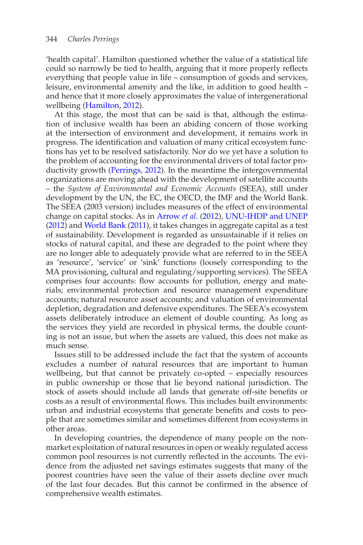'health capital'. Hamilton questioned whether the value of a statistical life could so narrowly be tied to health, arguing that it more properly reflects everything that people value in life – consumption of goods and services, leisure, environmental amenity and the like, in addition to good health – and hence that it more closely approximates the value of intergenerational wellbeing [\(Hamilton,](#page-27-14) [2012](#page-27-14)).

At this stage, the most that can be said is that, although the estimation of inclusive wealth has been an abiding concern of those working at the intersection of environment and development, it remains work in progress. The identification and valuation of many critical ecosystem functions has yet to be resolved satisfactorily. Nor do we yet have a solution to the problem of accounting for the environmental drivers of total factor productivity growth [\(Perrings](#page-31-4), [2012](#page-31-4)). In the meantime the intergovernmental organizations are moving ahead with the development of satellite accounts – the *System of Environmental and Economic Accounts* (SEEA), still under development by the UN, the EC, the OECD, the IMF and the World Bank. The SEEA (2003 version) includes measures of the effect of environmental change on capital stocks. As in [Arrow](#page-23-5) *et al*. [\(2012\)](#page-23-5), [UNU-IHDP and UNEP](#page-33-8) [\(2012\)](#page-33-8) and [World Bank](#page-33-7) [\(2011\)](#page-33-7), it takes changes in aggregate capital as a test of sustainability. Development is regarded as unsustainable if it relies on stocks of natural capital, and these are degraded to the point where they are no longer able to adequately provide what are referred to in the SEEA as 'resource', 'service' or 'sink' functions (loosely corresponding to the MA provisioning, cultural and regulating/supporting services). The SEEA comprises four accounts: flow accounts for pollution, energy and materials; environmental protection and resource management expenditure accounts; natural resource asset accounts; and valuation of environmental depletion, degradation and defensive expenditures. The SEEA's ecosystem assets deliberately introduce an element of double counting. As long as the services they yield are recorded in physical terms, the double counting is not an issue, but when the assets are valued, this does not make as much sense.

Issues still to be addressed include the fact that the system of accounts excludes a number of natural resources that are important to human wellbeing, but that cannot be privately co-opted – especially resources in public ownership or those that lie beyond national jurisdiction. The stock of assets should include all lands that generate off-site benefits or costs as a result of environmental flows. This includes built environments: urban and industrial ecosystems that generate benefits and costs to people that are sometimes similar and sometimes different from ecosystems in other areas.

In developing countries, the dependence of many people on the nonmarket exploitation of natural resources in open or weakly regulated access common pool resources is not currently reflected in the accounts. The evidence from the adjusted net savings estimates suggests that many of the poorest countries have seen the value of their assets decline over much of the last four decades. But this cannot be confirmed in the absence of comprehensive wealth estimates.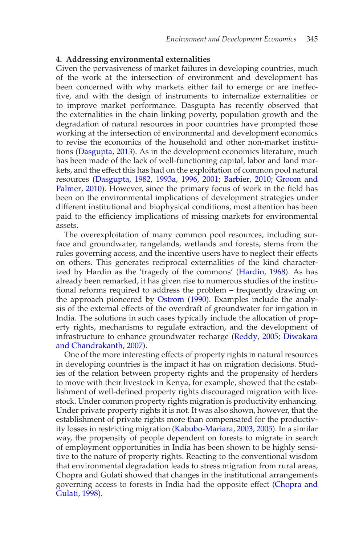### **4. Addressing environmental externalities**

Given the pervasiveness of market failures in developing countries, much of the work at the intersection of environment and development has been concerned with why markets either fail to emerge or are ineffective, and with the design of instruments to internalize externalities or to improve market performance. Dasgupta has recently observed that the externalities in the chain linking poverty, population growth and the degradation of natural resources in poor countries have prompted those working at the intersection of environmental and development economics to revise the economics of the household and other non-market institutions [\(Dasgupta](#page-26-9), [2013](#page-26-9)). As in the development economics literature, much has been made of the lack of well-functioning capital, labor and land markets, and the effect this has had on the exploitation of common pool natural resour[ces](#page-27-15) [\(Dasgupta](#page-25-8)[,](#page-27-15) [1982,](#page-25-8) [1993a,](#page-25-3) [1996](#page-25-1), [2001](#page-26-1); [Barbier](#page-23-0), [2010](#page-23-0); Groom and Palmer, [2010\)](#page-27-15). However, since the primary focus of work in the field has been on the environmental implications of development strategies under different institutional and biophysical conditions, most attention has been paid to the efficiency implications of missing markets for environmental assets.

The overexploitation of many common pool resources, including surface and groundwater, rangelands, wetlands and forests, stems from the rules governing access, and the incentive users have to neglect their effects on others. This generates reciprocal externalities of the kind characterized by Hardin as the 'tragedy of the commons' [\(Hardin,](#page-27-16) [1968\)](#page-27-16). As has already been remarked, it has given rise to numerous studies of the institutional reforms required to address the problem – frequently drawing on the approach pioneered by [Ostrom](#page-30-1) [\(1990\)](#page-30-1). Examples include the analysis of the external effects of the overdraft of groundwater for irrigation in India. The solutions in such cases typically include the allocation of property rights, mechanisms to regulate extraction, and the development of infrastructure to e[nhance groundwater recharge](#page-26-10) [\(Reddy,](#page-32-10) [2005](#page-32-10); Diwakara and Chandrakanth, [2007](#page-26-10)).

One of the more interesting effects of property rights in natural resources in developing countries is the impact it has on migration decisions. Studies of the relation between property rights and the propensity of herders to move with their livestock in Kenya, for example, showed that the establishment of well-defined property rights discouraged migration with livestock. Under common property rights migration is productivity enhancing. Under private property rights it is not. It was also shown, however, that the establishment of private rights more than compensated for the productivity losses in restricting migration [\(Kabubo-Mariara,](#page-28-2) [2003](#page-28-2), [2005](#page-28-3)). In a similar way, the propensity of people dependent on forests to migrate in search of employment opportunities in India has been shown to be highly sensitive to the nature of property rights. Reacting to the conventional wisdom that environmental degradation leads to stress migration from rural areas, Chopra and Gulati showed that changes in the institutional arrangements gover[ning access to forests in India had the opposite effect \(](#page-25-9)Chopra and Gulati, [1998](#page-25-9)).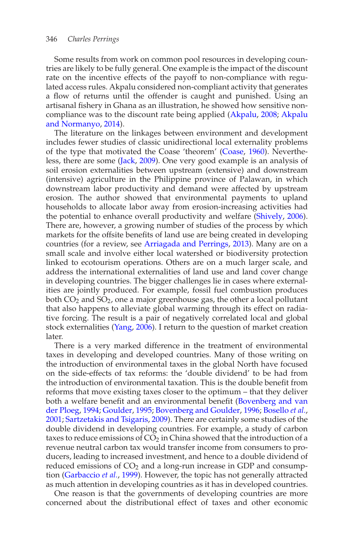Some results from work on common pool resources in developing countries are likely to be fully general. One example is the impact of the discount rate on the incentive effects of the payoff to non-compliance with regulated access rules. Akpalu considered non-compliant activity that generates a flow of returns until the offender is caught and punished. Using an artisanal fishery in Ghana as an illustration, he showed how sensitive noncompliance wa[s](#page-23-7) [to](#page-23-7) [the](#page-23-7) [discount](#page-23-7) [rate](#page-23-7) [being](#page-23-7) [applied](#page-23-7) [\(Akpalu,](#page-23-6) [2008;](#page-23-6) Akpalu and Normanyo, [2014](#page-23-7)).

The literature on the linkages between environment and development includes fewer studies of classic unidirectional local externality problems of the type that motivated the Coase 'theorem' [\(Coase](#page-25-10), [1960\)](#page-25-10). Nevertheless, there are some [\(Jack](#page-28-4), [2009\)](#page-28-4). One very good example is an analysis of soil erosion externalities between upstream (extensive) and downstream (intensive) agriculture in the Philippine province of Palawan, in which downstream labor productivity and demand were affected by upstream erosion. The author showed that environmental payments to upland households to allocate labor away from erosion-increasing activities had the potential to enhance overall productivity and welfare [\(Shively](#page-32-11), [2006\)](#page-32-11). There are, however, a growing number of studies of the process by which markets for the offsite benefits of land use are being created in developing countries (for a review, see [Arriagada and Perrings](#page-23-8), [2013](#page-23-8)). Many are on a small scale and involve either local watershed or biodiversity protection linked to ecotourism operations. Others are on a much larger scale, and address the international externalities of land use and land cover change in developing countries. The bigger challenges lie in cases where externalities are jointly produced. For example, fossil fuel combustion produces both  $CO<sub>2</sub>$  and  $SO<sub>2</sub>$ , one a major greenhouse gas, the other a local pollutant that also happens to alleviate global warming through its effect on radiative forcing. The result is a pair of negatively correlated local and global stock externalities [\(Yang,](#page-34-0) [2006](#page-34-0)). I return to the question of market creation later.

There is a very marked difference in the treatment of environmental taxes in developing and developed countries. Many of those writing on the introduction of environmental taxes in the global North have focused on the side-effects of tax reforms: the 'double dividend' to be had from the introduction of environmental taxation. This is the double benefit from reforms that move existing taxes closer to the optimum – that they deliver both a w[elfare benefit and an environmental benefit \(](#page-24-4)Bovenberg and van der Ploeg, [1994;](#page-24-4) [Goulder,](#page-27-17) [1995](#page-27-17); [Bovenberg and Goulder,](#page-24-5) [1996](#page-24-5); [Bosello](#page-24-6) *et al.*, [2001](#page-24-6); [Sartzetakis and Tsigaris,](#page-32-12) [2009](#page-32-12)). There are certainly some studies of the double dividend in developing countries. For example, a study of carbon taxes to reduce emissions of  $CO<sub>2</sub>$  in China showed that the introduction of a revenue neutral carbon tax would transfer income from consumers to producers, leading to increased investment, and hence to a double dividend of reduced emissions of CO<sub>2</sub> and a long-run increase in GDP and consumption [\(Garbaccio](#page-26-11) *et al.*, [1999\)](#page-26-11). However, the topic has not generally attracted as much attention in developing countries as it has in developed countries.

One reason is that the governments of developing countries are more concerned about the distributional effect of taxes and other economic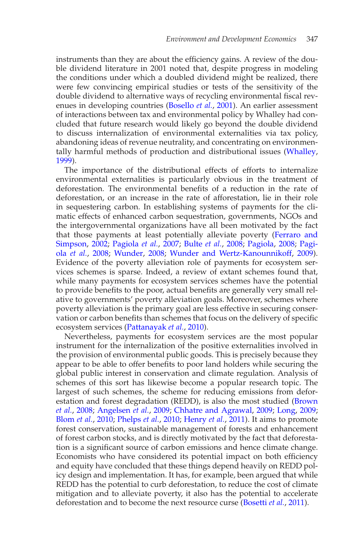instruments than they are about the efficiency gains. A review of the double dividend literature in 2001 noted that, despite progress in modeling the conditions under which a doubled dividend might be realized, there were few convincing empirical studies or tests of the sensitivity of the double dividend to alternative ways of recycling environmental fiscal revenues in developing countries [\(Bosello](#page-24-6) *et al.*, [2001](#page-24-6)). An earlier assessment of interactions between tax and environmental policy by Whalley had concluded that future research would likely go beyond the double dividend to discuss internalization of environmental externalities via tax policy, abandoning ideas of revenue neutrality, and concentrating on environmentally harmful methods of production and distributional issues [\(Whalley,](#page-33-9) [1999](#page-33-9)).

The importance of the distributional effects of efforts to internalize environmental externalities is particularly obvious in the treatment of deforestation. The environmental benefits of a reduction in the rate of deforestation, or an increase in the rate of afforestation, lie in their role in sequestering carbon. In establishing systems of payments for the climatic effects of enhanced carbon sequestration, governments, NGOs and the intergovernmental organizations have all been motivated by the fact that tho[se payments at least potentially alleviate poverty \(](#page-26-12)Ferraro and Simpson, [2002;](#page-26-12) [Pagiola](#page-30-8) *et al.*, [2007;](#page-30-8) [Bulte](#page-24-7) *et al.*, [2008](#page-24-7); [Pagiola](#page-30-9)[,](#page-30-10) [2008;](#page-30-9) Pagiola *et al.*, [2008;](#page-30-10) [Wunder,](#page-34-1) [2008](#page-34-1); [Wunder and Wertz-Kanounnikoff](#page-34-2), [2009\)](#page-34-2). Evidence of the poverty alleviation role of payments for ecosystem services schemes is sparse. Indeed, a review of extant schemes found that, while many payments for ecosystem services schemes have the potential to provide benefits to the poor, actual benefits are generally very small relative to governments' poverty alleviation goals. Moreover, schemes where poverty alleviation is the primary goal are less effective in securing conservation or carbon benefits than schemes that focus on the delivery of specific ecosystem services [\(Pattanayak](#page-31-5) *et al.*, [2010\)](#page-31-5).

Nevertheless, payments for ecosystem services are the most popular instrument for the internalization of the positive externalities involved in the provision of environmental public goods. This is precisely because they appear to be able to offer benefits to poor land holders while securing the global public interest in conservation and climate regulation. Analysis of schemes of this sort has likewise become a popular research topic. The largest of such schemes, the scheme for reducing emissions from deforestat[ion and forest degradation \(REDD\), is also the most studied \(](#page-24-8)Brown *et al.*, [2008;](#page-24-8) [Angelsen](#page-23-9) *et al.*, [2009](#page-23-9); [Chhatre and Agrawal](#page-25-11), [2009](#page-25-11); [Long,](#page-29-11) [2009;](#page-29-11) [Blom](#page-24-9) *et al.*, [2010](#page-24-9); [Phelps](#page-31-6) *et al.*, [2010](#page-31-6); [Henry](#page-27-18) *et al.*, [2011\)](#page-27-18). It aims to promote forest conservation, sustainable management of forests and enhancement of forest carbon stocks, and is directly motivated by the fact that deforestation is a significant source of carbon emissions and hence climate change. Economists who have considered its potential impact on both efficiency and equity have concluded that these things depend heavily on REDD policy design and implementation. It has, for example, been argued that while REDD has the potential to curb deforestation, to reduce the cost of climate mitigation and to alleviate poverty, it also has the potential to accelerate deforestation and to become the next resource curse [\(Bosetti](#page-24-10) *et al.*, [2011](#page-24-10)).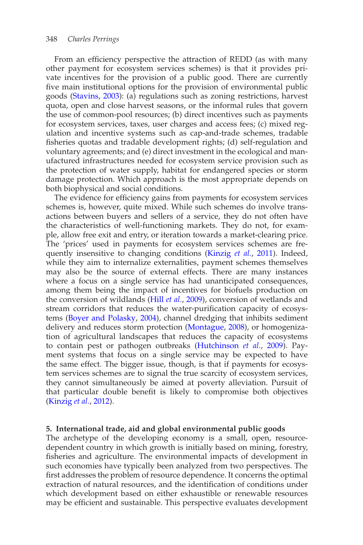#### 348 *Charles Perrings*

From an efficiency perspective the attraction of REDD (as with many other payment for ecosystem services schemes) is that it provides private incentives for the provision of a public good. There are currently five main institutional options for the provision of environmental public goods [\(Stavins,](#page-32-13) [2003](#page-32-13)): (a) regulations such as zoning restrictions, harvest quota, open and close harvest seasons, or the informal rules that govern the use of common-pool resources; (b) direct incentives such as payments for ecosystem services, taxes, user charges and access fees; (c) mixed regulation and incentive systems such as cap-and-trade schemes, tradable fisheries quotas and tradable development rights; (d) self-regulation and voluntary agreements; and (e) direct investment in the ecological and manufactured infrastructures needed for ecosystem service provision such as the protection of water supply, habitat for endangered species or storm damage protection. Which approach is the most appropriate depends on both biophysical and social conditions.

The evidence for efficiency gains from payments for ecosystem services schemes is, however, quite mixed. While such schemes do involve transactions between buyers and sellers of a service, they do not often have the characteristics of well-functioning markets. They do not, for example, allow free exit and entry, or iteration towards a market-clearing price. The 'prices' used in payments for ecosystem services schemes are frequently insensitive to changing conditions [\(Kinzig](#page-28-5) *et al.*, [2011](#page-28-5)). Indeed, while they aim to internalize externalities, payment schemes themselves may also be the source of external effects. There are many instances where a focus on a single service has had unanticipated consequences, among them being the impact of incentives for biofuels production on the conversion of wildlands (Hill *[et al.](#page-28-6)*, [2009](#page-28-6)), conversion of wetlands and stream corridors that reduces the water-purification capacity of ecosystems [\(Boyer and Polasky,](#page-24-11) [2004\)](#page-24-11), channel dredging that inhibits sediment delivery and reduces storm protection [\(Montague,](#page-30-11) [2008](#page-30-11)), or homogenization of agricultural landscapes that reduces the capacity of ecosystems to contain pest or pathogen outbreaks [\(Hutchinson](#page-28-7) *et al.*, [2009\)](#page-28-7). Payment systems that focus on a single service may be expected to have the same effect. The bigger issue, though, is that if payments for ecosystem services schemes are to signal the true scarcity of ecosystem services, they cannot simultaneously be aimed at poverty alleviation. Pursuit of that particular double benefit is likely to compromise both objectives [\(Kinzig](#page-28-8) *et al.*, [2012\)](#page-28-8).

#### **5. International trade, aid and global environmental public goods**

The archetype of the developing economy is a small, open, resourcedependent country in which growth is initially based on mining, forestry, fisheries and agriculture. The environmental impacts of development in such economies have typically been analyzed from two perspectives. The first addresses the problem of resource dependence. It concerns the optimal extraction of natural resources, and the identification of conditions under which development based on either exhaustible or renewable resources may be efficient and sustainable. This perspective evaluates development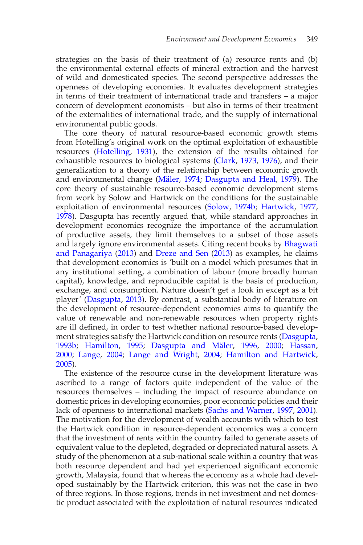strategies on the basis of their treatment of (a) resource rents and (b) the environmental external effects of mineral extraction and the harvest of wild and domesticated species. The second perspective addresses the openness of developing economies. It evaluates development strategies in terms of their treatment of international trade and transfers – a major concern of development economists – but also in terms of their treatment of the externalities of international trade, and the supply of international environmental public goods.

The core theory of natural resource-based economic growth stems from Hotelling's original work on the optimal exploitation of exhaustible resources [\(Hotelling](#page-28-9), [1931](#page-28-9)), the extension of the results obtained for exhaustible resources to biological systems [\(Clark,](#page-25-12) [1973](#page-25-12), [1976](#page-25-13)), and their generalization to a theory of the relationship between economic growth and environmental change (Mäler, [1974](#page-29-12); [Dasgupta and Heal](#page-26-13), [1979](#page-26-13)). The core theory of sustainable resource-based economic development stems from work by Solow and Hartwick on the conditions for the sustainable exploitation of environmental resources [\(Solow](#page-32-8), [1974b](#page-32-8); [Hartwick](#page-27-8), [1977,](#page-27-8) [1978](#page-27-9)). Dasgupta has recently argued that, while standard approaches in development economics recognize the importance of the accumulation of productive assets, they limit themselves to a subset of those assets and largely ign[ore environmental assets. Citing recent books by](#page-24-12) Bhagwati and Panagariya [\(2013\)](#page-24-12) and [Dreze and Sen](#page-26-14) [\(2013\)](#page-26-14) as examples, he claims that development economics is 'built on a model which presumes that in any institutional setting, a combination of labour (more broadly human capital), knowledge, and reproducible capital is the basis of production, exchange, and consumption. Nature doesn't get a look in except as a bit player' [\(Dasgupta,](#page-26-9) [2013](#page-26-9)). By contrast, a substantial body of literature on the development of resource-dependent economies aims to quantify the value of renewable and non-renewable resources when property rights are ill defined, in order to test whether national resource-based develop-ment strategies satisfy the Hartwick condition on resource rents [\(Dasgupta,](#page-25-14) [1993b;](#page-25-14) [Hamilton,](#page-27-19) [1995;](#page-27-19) Dasgupta and Mäler, [1996](#page-26-15), [2000](#page-26-5); [Hassan,](#page-27-6) [2000](#page-27-6); [Lange,](#page-29-9) [2004](#page-29-9); [Lange and Wright](#page-29-10), [2004](#page-29-10); [Hamilton and Hartwick,](#page-27-20) [2005](#page-27-20)).

The existence of the resource curse in the development literature was ascribed to a range of factors quite independent of the value of the resources themselves – including the impact of resource abundance on domestic prices in developing economies, poor economic policies and their lack of openness to international markets [\(Sachs and Warner](#page-32-14), [1997,](#page-32-14) [2001\)](#page-32-15). The motivation for the development of wealth accounts with which to test the Hartwick condition in resource-dependent economics was a concern that the investment of rents within the country failed to generate assets of equivalent value to the depleted, degraded or depreciated natural assets. A study of the phenomenon at a sub-national scale within a country that was both resource dependent and had yet experienced significant economic growth, Malaysia, found that whereas the economy as a whole had developed sustainably by the Hartwick criterion, this was not the case in two of three regions. In those regions, trends in net investment and net domestic product associated with the exploitation of natural resources indicated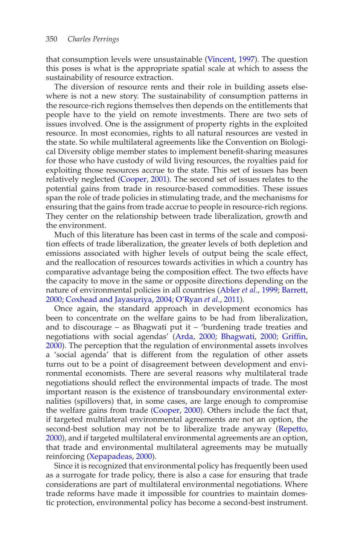that consumption levels were unsustainable [\(Vincent](#page-33-10), [1997](#page-33-10)). The question this poses is what is the appropriate spatial scale at which to assess the sustainability of resource extraction.

The diversion of resource rents and their role in building assets elsewhere is not a new story. The sustainability of consumption patterns in the resource-rich regions themselves then depends on the entitlements that people have to the yield on remote investments. There are two sets of issues involved. One is the assignment of property rights in the exploited resource. In most economies, rights to all natural resources are vested in the state. So while multilateral agreements like the Convention on Biological Diversity oblige member states to implement benefit-sharing measures for those who have custody of wild living resources, the royalties paid for exploiting those resources accrue to the state. This set of issues has been relatively neglected [\(Cooper,](#page-25-15) [2001](#page-25-15)). The second set of issues relates to the potential gains from trade in resource-based commodities. These issues span the role of trade policies in stimulating trade, and the mechanisms for ensuring that the gains from trade accrue to people in resource-rich regions. They center on the relationship between trade liberalization, growth and the environment.

Much of this literature has been cast in terms of the scale and composition effects of trade liberalization, the greater levels of both depletion and emissions associated with higher levels of output being the scale effect, and the reallocation of resources towards activities in which a country has comparative advantage being the composition effect. The two effects have the capacity to move in the same or opposite directions depending on the nature of environmental policies in all countries [\(Abler](#page-23-10) *et al.*, [1999;](#page-23-10) [Barrett](#page-24-13), [2000](#page-24-13); [Coxhead and Jayasuriya](#page-25-16), [2004](#page-25-16); [O'Ryan](#page-30-12) *et al.*, [2011\)](#page-30-12).

Once again, the standard approach in development economics has been to concentrate on the welfare gains to be had from liberalization, and to discourage – as Bhagwati put it – 'burdening trade treaties and negotiations with social agendas' [\(Arda](#page-23-11), [2000](#page-23-11); [Bhagwati](#page-24-14), [2000](#page-24-14); [Griffin,](#page-27-21) [2000](#page-27-21)). The perception that the regulation of environmental assets involves a 'social agenda' that is different from the regulation of other assets turns out to be a point of disagreement between development and environmental economists. There are several reasons why multilateral trade negotiations should reflect the environmental impacts of trade. The most important reason is the existence of transboundary environmental externalities (spillovers) that, in some cases, are large enough to compromise the welfare gains from trade [\(Cooper](#page-25-17), [2000\)](#page-25-17). Others include the fact that, if targeted multilateral environmental agreements are not an option, the second-best solution may not be to liberalize trade anyway [\(Repetto](#page-32-16), [2000](#page-32-16)), and if targeted multilateral environmental agreements are an option, that trade and environmental multilateral agreements may be mutually reinforcing [\(Xepapadeas,](#page-34-3) [2000](#page-34-3)).

Since it is recognized that environmental policy has frequently been used as a surrogate for trade policy, there is also a case for ensuring that trade considerations are part of multilateral environmental negotiations. Where trade reforms have made it impossible for countries to maintain domestic protection, environmental policy has become a second-best instrument.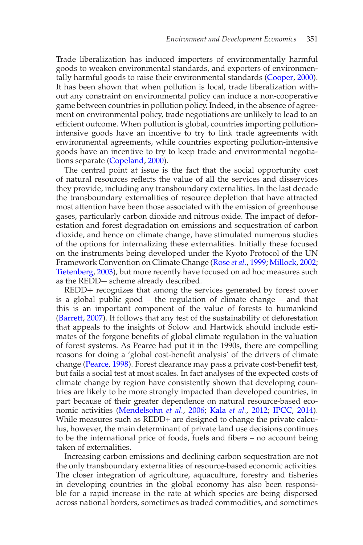Trade liberalization has induced importers of environmentally harmful goods to weaken environmental standards, and exporters of environmentally harmful goods to raise their environmental standards [\(Cooper](#page-25-17), [2000\)](#page-25-17). It has been shown that when pollution is local, trade liberalization without any constraint on environmental policy can induce a non-cooperative game between countries in pollution policy. Indeed, in the absence of agreement on environmental policy, trade negotiations are unlikely to lead to an efficient outcome. When pollution is global, countries importing pollutionintensive goods have an incentive to try to link trade agreements with environmental agreements, while countries exporting pollution-intensive goods have an incentive to try to keep trade and environmental negotiations separate [\(Copeland,](#page-25-18) [2000\)](#page-25-18).

The central point at issue is the fact that the social opportunity cost of natural resources reflects the value of all the services and disservices they provide, including any transboundary externalities. In the last decade the transboundary externalities of resource depletion that have attracted most attention have been those associated with the emission of greenhouse gases, particularly carbon dioxide and nitrous oxide. The impact of deforestation and forest degradation on emissions and sequestration of carbon dioxide, and hence on climate change, have stimulated numerous studies of the options for internalizing these externalities. Initially these focused on the instruments being developed under the Kyoto Protocol of the UN Framework Convention on Climate Change [\(Rose](#page-32-17) *et al.*, [1999;](#page-32-17) [Millock,](#page-30-13) [2002;](#page-30-13) [Tietenberg,](#page-33-11) [2003](#page-33-11)), but more recently have focused on ad hoc measures such as the REDD+ scheme already described.

REDD+ recognizes that among the services generated by forest cover is a global public good – the regulation of climate change – and that this is an important component of the value of forests to humankind [\(Barrett](#page-24-15), [2007\)](#page-24-15). It follows that any test of the sustainability of deforestation that appeals to the insights of Solow and Hartwick should include estimates of the forgone benefits of global climate regulation in the valuation of forest systems. As Pearce had put it in the 1990s, there are compelling reasons for doing a 'global cost-benefit analysis' of the drivers of climate change [\(Pearce,](#page-31-7) [1998](#page-31-7)). Forest clearance may pass a private cost-benefit test, but fails a social test at most scales. In fact analyses of the expected costs of climate change by region have consistently shown that developing countries are likely to be more strongly impacted than developed countries, in part because of their greater dependence on natural resource-based economic activities [\(Mendelsohn](#page-30-14) *et al.*, [2006;](#page-30-14) Kala *[et al.](#page-28-10)*, [2012;](#page-28-10) [IPCC](#page-28-11), [2014\)](#page-28-11). While measures such as REDD+ are designed to change the private calculus, however, the main determinant of private land use decisions continues to be the international price of foods, fuels and fibers – no account being taken of externalities.

Increasing carbon emissions and declining carbon sequestration are not the only transboundary externalities of resource-based economic activities. The closer integration of agriculture, aquaculture, forestry and fisheries in developing countries in the global economy has also been responsible for a rapid increase in the rate at which species are being dispersed across national borders, sometimes as traded commodities, and sometimes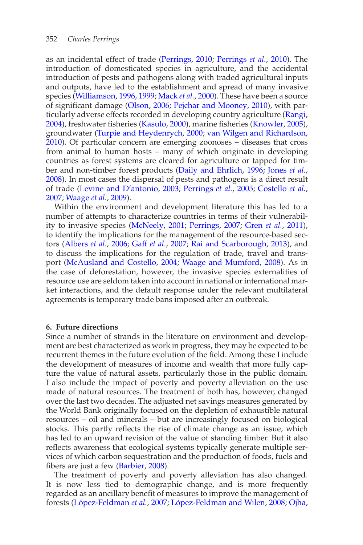as an incidental effect of trade [\(Perrings,](#page-31-8) [2010;](#page-31-8) [Perrings](#page-31-9) *et al.*, [2010\)](#page-31-9). The introduction of domesticated species in agriculture, and the accidental introduction of pests and pathogens along with traded agricultural inputs and outputs, have led to the establishment and spread of many invasive species [\(Williamson](#page-33-12), [1996](#page-33-12), [1999;](#page-33-13) [Mack](#page-29-13) *et al.*, [2000](#page-29-13)). These have been a source of significant damage [\(Olson,](#page-30-15) [2006;](#page-30-15) [Pejchar and Mooney](#page-31-10), [2010\)](#page-31-10), with particularly adverse effects recorded in developing country agriculture [\(Rangi,](#page-32-18) [2004](#page-32-18)), freshwater fisheries [\(Kasulo](#page-28-12), [2000\)](#page-28-12), marine fisheries [\(Knowler](#page-28-13), [2005\)](#page-28-13), groundwater [\(Turpie and Heydenrych,](#page-33-14) [2000;](#page-33-14) [van Wilgen and Richardson,](#page-33-15) [2010](#page-33-15)). Of particular concern are emerging zoonoses – diseases that cross from animal to human hosts – many of which originate in developing countries as forest systems are cleared for agriculture or tapped for timber and non-timber forest products [\(Daily and Ehrlich,](#page-25-19) [1996](#page-25-19); [Jones](#page-28-14) *et al.*, [2008](#page-28-14)). In most cases the dispersal of pests and pathogens is a direct result of trade [\(Levine and D'antonio,](#page-29-14) [2003](#page-29-14); [Perrings](#page-31-11) *et al.*, [2005](#page-31-11); [Costello](#page-25-20) *et al.*, [2007](#page-25-20); [Waage](#page-33-16) *et al.*, [2009](#page-33-16)).

Within the environment and development literature this has led to a number of attempts to characterize countries in terms of their vulnerability to invasive species [\(McNeely](#page-30-16), [2001](#page-30-16); [Perrings](#page-31-12), [2007](#page-31-12); [Gren](#page-27-22) *et al.*, [2011\)](#page-27-22), to identify the implications for the management of the resource-based sectors [\(Albers](#page-23-12) *et al.*, [2006](#page-23-12); Gaff *[et al.](#page-26-16)*, [2007](#page-26-16); [Rai and Scarborough](#page-31-13), [2013\)](#page-31-13), and to discuss the implications for the regulation of trade, travel and transport [\(McAusland and Costello](#page-30-17), [2004](#page-30-17); [Waage and Mumford](#page-33-17), [2008\)](#page-33-17). As in the case of deforestation, however, the invasive species externalities of resource use are seldom taken into account in national or international market interactions, and the default response under the relevant multilateral agreements is temporary trade bans imposed after an outbreak.

## **6. Future directions**

Since a number of strands in the literature on environment and development are best characterized as work in progress, they may be expected to be recurrent themes in the future evolution of the field. Among these I include the development of measures of income and wealth that more fully capture the value of natural assets, particularly those in the public domain. I also include the impact of poverty and poverty alleviation on the use made of natural resources. The treatment of both has, however, changed over the last two decades. The adjusted net savings measures generated by the World Bank originally focused on the depletion of exhaustible natural resources – oil and minerals – but are increasingly focused on biological stocks. This partly reflects the rise of climate change as an issue, which has led to an upward revision of the value of standing timber. But it also reflects awareness that ecological systems typically generate multiple services of which carbon sequestration and the production of foods, fuels and fibers are just a few [\(Barbier](#page-23-13), [2008](#page-23-13)).

The treatment of poverty and poverty alleviation has also changed. It is now less tied to demographic change, and is more frequently regarded as an ancillary benefit of measures to improve the management of forests (López-Feldman et al., [2007](#page-29-15); López-Feldman and Wilen, [2008](#page-29-16); [Ojha](#page-30-18),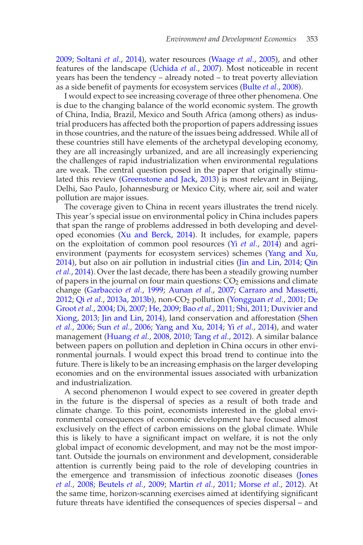[2009](#page-30-18); [Soltani](#page-32-0) *et al.*, [2014](#page-32-0)), water resources [\(Waage](#page-33-18) *et al.*, [2005\)](#page-33-18), and other features of the landscape [\(Uchida](#page-33-19) *et al.*, [2007\)](#page-33-19). Most noticeable in recent years has been the tendency – already noted – to treat poverty alleviation as a side benefit of payments for ecosystem services [\(Bulte](#page-24-7) *et al.*, [2008](#page-24-7)).

I would expect to see increasing coverage of three other phenomena. One is due to the changing balance of the world economic system. The growth of China, India, Brazil, Mexico and South Africa (among others) as industrial producers has affected both the proportion of papers addressing issues in those countries, and the nature of the issues being addressed. While all of these countries still have elements of the archetypal developing economy, they are all increasingly urbanized, and are all increasingly experiencing the challenges of rapid industrialization when environmental regulations are weak. The central question posed in the paper that originally stimulated this review [\(Greenstone and Jack](#page-27-0), [2013\)](#page-27-0) is most relevant in Beijing, Delhi, Sao Paulo, Johannesburg or Mexico City, where air, soil and water pollution are major issues.

The coverage given to China in recent years illustrates the trend nicely. This year's special issue on environmental policy in China includes papers that span the range of problems addressed in both developing and developed economies [\(Xu and Berck](#page-34-4), [2014\)](#page-34-4). It includes, for example, papers on the exploitation of common pool resources (Yi *[et al.](#page-34-5)*, [2014\)](#page-34-5) and agrienvironment (payments for ecosystem services) schemes [\(Yang and Xu,](#page-34-6) [2014](#page-34-6)[\), but also on air pollution in industrial cities](#page-31-14) [\(Jin and Lin,](#page-28-15) [2014](#page-28-15); Qin *et al.*, [2014\)](#page-31-14). Over the last decade, there has been a steadily growing number of papers in the journal on four main questions:  $CO<sub>2</sub>$  emissions and climate change [\(Garbaccio](#page-26-11) *et al.*, [1999;](#page-26-11) [Aunan](#page-23-14) *et al*., [2007;](#page-23-14) [Carraro and Massetti,](#page-25-21) [2012](#page-25-21); Qi *[et al.](#page-31-15)*, [2013a,](#page-31-15) [2013b\)](#page-31-16), non-CO2 [pollution](#page-26-17) [\(Yongguan](#page-34-7) *et al.*, [2001](#page-34-7); De Groot *et al.*, [2004](#page-26-17); [Di,](#page-26-18) [2007](#page-26-18); [He](#page-27-23), [2009](#page-27-23); Bao *[et al](#page-23-15)*., [2011](#page-23-15); [Shi,](#page-32-19) [2011](#page-32-19)[;](#page-26-19) Duvivier and Xiong, [2013;](#page-26-19) [Jin and Lin](#page-28-15), [2014\)](#page-28-15)[, land conservation and afforestation \(](#page-32-20)Shen *et al.*, [2006](#page-32-20); Sun *[et al.](#page-33-20)*, [2006;](#page-33-20) [Yang and Xu,](#page-34-6) [2014](#page-34-6); Yi *[et al.](#page-34-5)*, [2014](#page-34-5)), and water management [\(Huang](#page-28-16) *et al.*, [2008](#page-28-16), [2010](#page-28-17); [Tang](#page-33-21) *et al.*, [2012\)](#page-33-21). A similar balance between papers on pollution and depletion in China occurs in other environmental journals. I would expect this broad trend to continue into the future. There is likely to be an increasing emphasis on the larger developing economies and on the environmental issues associated with urbanization and industrialization.

A second phenomenon I would expect to see covered in greater depth in the future is the dispersal of species as a result of both trade and climate change. To this point, economists interested in the global environmental consequences of economic development have focused almost exclusively on the effect of carbon emissions on the global climate. While this is likely to have a significant impact on welfare, it is not the only global impact of economic development, and may not be the most important. Outside the journals on environment and development, considerable attention is currently being paid to the role of developing countries in the [emergence and transmission of infectious zoonotic diseases \(](#page-28-14)Jones *et al.*, [2008;](#page-28-14) [Beutels](#page-24-16) *et al.*, [2009](#page-24-16); [Martin](#page-29-17) *et al.*, [2011;](#page-29-17) [Morse](#page-30-19) *et al.*, [2012\)](#page-30-19). At the same time, horizon-scanning exercises aimed at identifying significant future threats have identified the consequences of species dispersal – and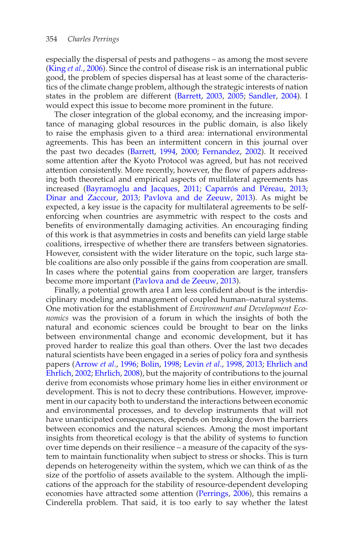especially the dispersal of pests and pathogens – as among the most severe [\(King](#page-28-18) *et al.*, [2006\)](#page-28-18). Since the control of disease risk is an international public good, the problem of species dispersal has at least some of the characteristics of the climate change problem, although the strategic interests of nation states in the problem are different [\(Barrett,](#page-24-17) [2003,](#page-24-17) [2005](#page-24-18); [Sandler](#page-32-21), [2004\)](#page-32-21). I would expect this issue to become more prominent in the future.

The closer integration of the global economy, and the increasing importance of managing global resources in the public domain, is also likely to raise the emphasis given to a third area: international environmental agreements. This has been an intermittent concern in this journal over the past two decades [\(Barrett](#page-23-16), [1994](#page-23-16), [2000;](#page-24-13) [Fernandez,](#page-26-20) [2002](#page-26-20)). It received some attention after the Kyoto Protocol was agreed, but has not received attention consistently. More recently, however, the flow of papers addressing both theoretical and empirical aspects of multilateral agreements has increased [\(Bayramoglu and Jacques,](#page-24-19) [2011;](#page-24-19) Caparrós and Péreau, [2013](#page-25-22); [Dinar and Zaccour,](#page-26-21) [2013;](#page-26-21) [Pavlova and de Zeeuw,](#page-31-17) [2013\)](#page-31-17). As might be expected, a key issue is the capacity for multilateral agreements to be selfenforcing when countries are asymmetric with respect to the costs and benefits of environmentally damaging activities. An encouraging finding of this work is that asymmetries in costs and benefits can yield large stable coalitions, irrespective of whether there are transfers between signatories. However, consistent with the wider literature on the topic, such large stable coalitions are also only possible if the gains from cooperation are small. In cases where the potential gains from cooperation are larger, transfers become more important [\(Pavlova and de Zeeuw,](#page-31-17) [2013](#page-31-17)).

Finally, a potential growth area I am less confident about is the interdisciplinary modeling and management of coupled human–natural systems. One motivation for the establishment of *Environment and Development Economics* was the provision of a forum in which the insights of both the natural and economic sciences could be brought to bear on the links between environmental change and economic development, but it has proved harder to realize this goal than others. Over the last two decades natural scientists have been engaged in a series of policy fora and synthesis papers [\(Arrow](#page-23-17) *et al*., [1996;](#page-23-17) [Bolin,](#page-24-20) [1998;](#page-24-20) [Levin](#page-29-18) *et al*., [1998](#page-29-18), [2013](#page-29-19); Ehrlich and Ehrlich, [2002](#page-26-2); [Ehrlich,](#page-26-22) [2008\)](#page-26-22), but the majority of contributions to the journal derive from economists whose primary home lies in either environment or development. This is not to decry these contributions. However, improvement in our capacity both to understand the interactions between economic and environmental processes, and to develop instruments that will not have unanticipated consequences, depends on breaking down the barriers between economics and the natural sciences. Among the most important insights from theoretical ecology is that the ability of systems to function over time depends on their resilience – a measure of the capacity of the system to maintain functionality when subject to stress or shocks. This is turn depends on heterogeneity within the system, which we can think of as the size of the portfolio of assets available to the system. Although the implications of the approach for the stability of resource-dependent developing economies have attracted some attention [\(Perrings](#page-31-18), [2006\)](#page-31-18), this remains a Cinderella problem. That said, it is too early to say whether the latest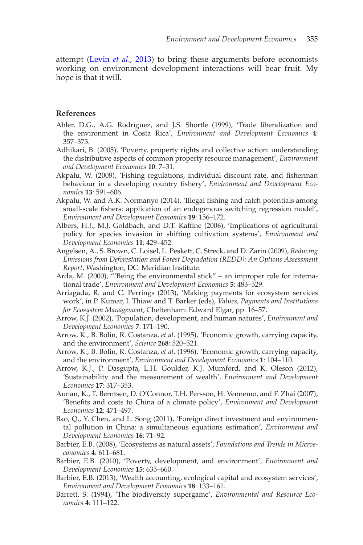attempt [\(Levin](#page-29-19) *et al*., [2013\)](#page-29-19) to bring these arguments before economists working on environment–development interactions will bear fruit. My hope is that it will.

### **References**

- <span id="page-23-10"></span>Abler, D.G., A.G. Rodríguez, and J.S. Shortle (1999), 'Trade liberalization and the environment in Costa Rica', *Environment and Development Economics* **4**: 357–373.
- <span id="page-23-2"></span>Adhikari, B. (2005), 'Poverty, property rights and collective action: understanding the distributive aspects of common property resource management', *Environment and Development Economics* **10**: 7–31.
- <span id="page-23-6"></span>Akpalu, W. (2008), 'Fishing regulations, individual discount rate, and fisherman behaviour in a developing country fishery', *Environment and Development Economics* **13**: 591–606.
- <span id="page-23-7"></span>Akpalu, W. and A.K. Normanyo (2014), 'Illegal fishing and catch potentials among small-scale fishers: application of an endogenous switching regression model', *Environment and Development Economics* **19**: 156–172.
- <span id="page-23-12"></span>Albers, H.J., M.J. Goldbach, and D.T. Kaffine (2006), 'Implications of agricultural policy for species invasion in shifting cultivation systems', *Environment and Development Economics* **11**: 429–452.
- <span id="page-23-9"></span>Angelsen, A., S. Brown, C. Loisel, L. Peskett, C. Streck, and D. Zarin (2009), *Reducing Emissions from Deforestation and Forest Degradation (REDD): An Options Assessment Report*, Washington, DC: Meridian Institute.
- <span id="page-23-11"></span>Arda, M. (2000), "'Being the environmental stick" – an improper role for international trade', *Environment and Development Economics* **5**: 483–529.
- <span id="page-23-8"></span>Arriagada, R. and C. Perrings (2013), 'Making payments for ecosystem services work', in P. Kumar, I. Thiaw and T. Barker (eds), *Values, Payments and Institutions for Ecosystem Management*, Cheltenham: Edward Elgar, pp. 16–57.
- <span id="page-23-1"></span>Arrow, K.J. (2002), 'Population, development, and human natures', *Environment and Development Economics* **7**: 171–190.
- <span id="page-23-3"></span>Arrow, K., B. Bolin, R. Costanza, *et al*. (1995), 'Economic growth, carrying capacity, and the environment', *Science* **268**: 520–521.
- <span id="page-23-17"></span>Arrow, K., B. Bolin, R. Costanza, *et al*. (1996), 'Economic growth, carrying capacity, and the environment', *Environment and Development Economics* **1**: 104–110.
- <span id="page-23-5"></span>Arrow, K.J., P. Dasgupta, L.H. Goulder, K.J. Mumford, and K. Oleson (2012), 'Sustainability and the measurement of wealth', *Environment and Development Economics* **17**: 317–353.
- <span id="page-23-14"></span>Aunan, K., T. Berntsen, D. O'Connor, T.H. Persson, H. Vennemo, and F. Zhai (2007), 'Benefits and costs to China of a climate policy', *Environment and Development Economics* **12**: 471–497.
- <span id="page-23-15"></span>Bao, Q., Y. Chen, and L. Song (2011), 'Foreign direct investment and environmental pollution in China: a simultaneous equations estimation', *Environment and Development Economics* **16**: 71–92.
- <span id="page-23-13"></span>Barbier, E.B. (2008), 'Ecosystems as natural assets', *Foundations and Trends in Microeconomics* **4**: 611–681.
- <span id="page-23-0"></span>Barbier, E.B. (2010), 'Poverty, development, and environment', *Environment and Development Economics* **15**: 635–660.
- <span id="page-23-4"></span>Barbier, E.B. (2013), 'Wealth accounting, ecological capital and ecosystem services', *Environment and Development Economics* **18**: 133–161.
- <span id="page-23-16"></span>Barrett, S. (1994), 'The biodiversity supergame', *Environmental and Resource Economics* **4**: 111–122.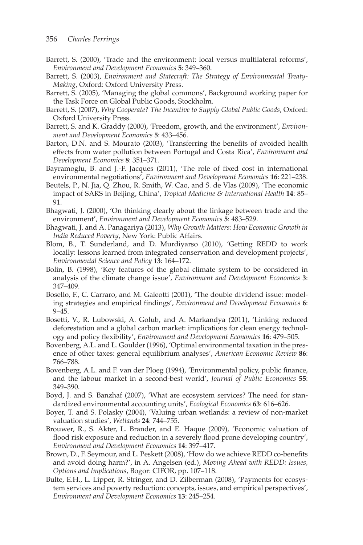- <span id="page-24-13"></span>Barrett, S. (2000), 'Trade and the environment: local versus multilateral reforms', *Environment and Development Economics* **5**: 349–360.
- <span id="page-24-17"></span>Barrett, S. (2003), *Environment and Statecraft: The Strategy of Environmental Treaty-Making*, Oxford: Oxford University Press.
- <span id="page-24-18"></span>Barrett, S. (2005), 'Managing the global commons', Background working paper for the Task Force on Global Public Goods, Stockholm.
- <span id="page-24-15"></span>Barrett, S. (2007), *Why Cooperate? The Incentive to Supply Global Public Goods*, Oxford: Oxford University Press.
- <span id="page-24-0"></span>Barrett, S. and K. Graddy (2000), 'Freedom, growth, and the environment', *Environment and Development Economics* **5**: 433–456.
- <span id="page-24-2"></span>Barton, D.N. and S. Mourato (2003), 'Transferring the benefits of avoided health effects from water pollution between Portugal and Costa Rica', *Environment and Development Economics* **8**: 351–371.
- <span id="page-24-19"></span>Bayramoglu, B. and J.-F. Jacques (2011), 'The role of fixed cost in international environmental negotiations', *Environment and Development Economics* **16**: 221–238.
- <span id="page-24-16"></span>Beutels, P., N. Jia, Q. Zhou, R. Smith, W. Cao, and S. de Vlas (2009), 'The economic impact of SARS in Beijing, China', *Tropical Medicine & International Health* **14**: 85– 91.
- <span id="page-24-14"></span>Bhagwati, J. (2000), 'On thinking clearly about the linkage between trade and the environment', *Environment and Development Economics* **5**: 483–529.
- <span id="page-24-12"></span>Bhagwati, J. and A. Panagariya (2013), *Why Growth Matters: How Economic Growth in India Reduced Poverty*, New York: Public Affairs.
- <span id="page-24-9"></span>Blom, B., T. Sunderland, and D. Murdiyarso (2010), 'Getting REDD to work locally: lessons learned from integrated conservation and development projects', *Environmental Science and Policy* **13**: 164–172.
- <span id="page-24-20"></span>Bolin, B. (1998), 'Key features of the global climate system to be considered in analysis of the climate change issue', *Environment and Development Economics* **3**: 347–409.
- <span id="page-24-6"></span>Bosello, F., C. Carraro, and M. Galeotti (2001), 'The double dividend issue: modeling strategies and empirical findings', *Environment and Development Economics* **6**: 9–45.
- <span id="page-24-10"></span>Bosetti, V., R. Lubowski, A. Golub, and A. Markandya (2011), 'Linking reduced deforestation and a global carbon market: implications for clean energy technology and policy flexibility', *Environment and Development Economics* **16**: 479–505.
- <span id="page-24-5"></span>Bovenberg, A.L. and L. Goulder (1996), 'Optimal environmental taxation in the presence of other taxes: general equilibrium analyses', *American Economic Review* **86**: 766–788.
- <span id="page-24-4"></span>Bovenberg, A.L. and F. van der Ploeg (1994), 'Environmental policy, public finance, and the labour market in a second-best world', *Journal of Public Economics* **55**: 349–390.
- <span id="page-24-3"></span>Boyd, J. and S. Banzhaf (2007), 'What are ecosystem services? The need for standardized environmental accounting units', *Ecological Economics* **63**: 616–626.
- <span id="page-24-11"></span>Boyer, T. and S. Polasky (2004), 'Valuing urban wetlands: a review of non-market valuation studies', *Wetlands* **24**: 744–755.
- <span id="page-24-1"></span>Brouwer, R., S. Akter, L. Brander, and E. Haque (2009), 'Economic valuation of flood risk exposure and reduction in a severely flood prone developing country', *Environment and Development Economics* **14**: 397–417.
- <span id="page-24-8"></span>Brown, D., F. Seymour, and L. Peskett (2008), 'How do we achieve REDD co-benefits and avoid doing harm?', in A. Angelsen (ed.), *Moving Ahead with REDD: Issues, Options and Implications*, Bogor: CIFOR, pp. 107–118.
- <span id="page-24-7"></span>Bulte, E.H., L. Lipper, R. Stringer, and D. Zilberman (2008), 'Payments for ecosystem services and poverty reduction: concepts, issues, and empirical perspectives', *Environment and Development Economics* **13**: 245–254.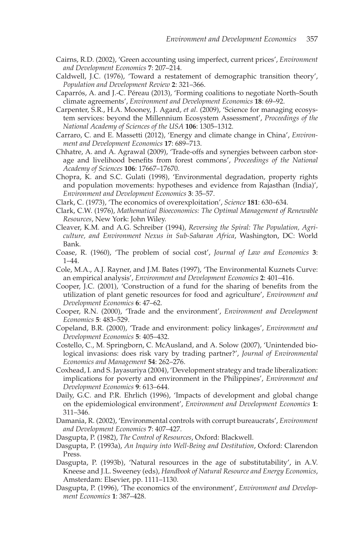- <span id="page-25-7"></span>Cairns, R.D. (2002), 'Green accounting using imperfect, current prices', *Environment and Development Economics* **7**: 207–214.
- <span id="page-25-4"></span>Caldwell, J.C. (1976), 'Toward a restatement of demographic transition theory', *Population and Development Review* **2**: 321–366.
- <span id="page-25-22"></span>Caparrós, A. and J.-C. Péreau (2013), 'Forming coalitions to negotiate North–South climate agreements', *Environment and Development Economics* **18**: 69–92.
- <span id="page-25-0"></span>Carpenter, S.R., H.A. Mooney, J. Agard, *et al*. (2009), 'Science for managing ecosystem services: beyond the Millennium Ecosystem Assessment', *Proceedings of the National Academy of Sciences of the USA* **106**: 1305–1312.
- <span id="page-25-21"></span>Carraro, C. and E. Massetti (2012), 'Energy and climate change in China', *Environment and Development Economics* **17**: 689–713.
- <span id="page-25-11"></span>Chhatre, A. and A. Agrawal (2009), 'Trade-offs and synergies between carbon storage and livelihood benefits from forest commons', *Proceedings of the National Academy of Sciences* **106**: 17667–17670.
- <span id="page-25-9"></span>Chopra, K. and S.C. Gulati (1998), 'Environmental degradation, property rights and population movements: hypotheses and evidence from Rajasthan (India)', *Environment and Development Economics* **3**: 35–57.
- <span id="page-25-12"></span>Clark, C. (1973), 'The economics of overexploitation', *Science* **181**: 630–634.
- <span id="page-25-13"></span>Clark, C.W. (1976), *Mathematical Bioeconomics: The Optimal Management of Renewable Resources*, New York: John Wiley.
- <span id="page-25-2"></span>Cleaver, K.M. and A.G. Schreiber (1994), *Reversing the Spiral: The Population, Agriculture, and Environment Nexus in Sub-Saharan Africa*, Washington, DC: World Bank.
- <span id="page-25-10"></span>Coase, R. (1960), 'The problem of social cost', *Journal of Law and Economics* **3**: 1–44.
- <span id="page-25-5"></span>Cole, M.A., A.J. Rayner, and J.M. Bates (1997), 'The Environmental Kuznets Curve: an empirical analysis', *Environment and Development Economics* **2**: 401–416.
- <span id="page-25-15"></span>Cooper, J.C. (2001), 'Construction of a fund for the sharing of benefits from the utilization of plant genetic resources for food and agriculture', *Environment and Development Economics* **6**: 47–62.
- <span id="page-25-17"></span>Cooper, R.N. (2000), 'Trade and the environment', *Environment and Development Economics* **5**: 483–529.
- <span id="page-25-18"></span>Copeland, B.R. (2000), 'Trade and environment: policy linkages', *Environment and Development Economics* **5**: 405–432.
- <span id="page-25-20"></span>Costello, C., M. Springborn, C. McAusland, and A. Solow (2007), 'Unintended biological invasions: does risk vary by trading partner?', *Journal of Environmental Economics and Management* **54**: 262–276.
- <span id="page-25-16"></span>Coxhead, I. and S. Jayasuriya (2004), 'Development strategy and trade liberalization: implications for poverty and environment in the Philippines', *Environment and Development Economics* **9**: 613–644.
- <span id="page-25-19"></span>Daily, G.C. and P.R. Ehrlich (1996), 'Impacts of development and global change on the epidemiological environment', *Environment and Development Economics* **1**: 311–346.
- <span id="page-25-6"></span>Damania, R. (2002), 'Environmental controls with corrupt bureaucrats', *Environment and Development Economics* **7**: 407–427.
- <span id="page-25-8"></span>Dasgupta, P. (1982), *The Control of Resources*, Oxford: Blackwell.
- <span id="page-25-3"></span>Dasgupta, P. (1993a), *An Inquiry into Well-Being and Destitution*, Oxford: Clarendon Press.
- <span id="page-25-14"></span>Dasgupta, P. (1993b), 'Natural resources in the age of substitutability', in A.V. Kneese and J.L. Sweeney (eds), *Handbook of Natural Resource and Energy Economics*, Amsterdam: Elsevier, pp. 1111–1130.
- <span id="page-25-1"></span>Dasgupta, P. (1996), 'The economics of the environment', *Environment and Development Economics* **1**: 387–428.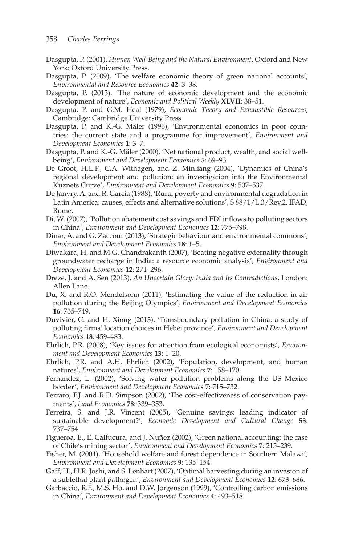- <span id="page-26-1"></span>Dasgupta, P. (2001), *Human Well-Being and the Natural Environment*, Oxford and New York: Oxford University Press.
- <span id="page-26-7"></span>Dasgupta, P. (2009), 'The welfare economic theory of green national accounts', *Environmental and Resource Economics* **42**: 3–38.
- <span id="page-26-9"></span>Dasgupta, P. (2013), 'The nature of economic development and the economic development of nature', *Economic and Political Weekly* **XLVII**: 38–51.
- <span id="page-26-13"></span>Dasgupta, P. and G.M. Heal (1979), *Economic Theory and Exhaustible Resources*, Cambridge: Cambridge University Press.
- <span id="page-26-15"></span>Dasgupta, P. and K.-G. Mäler (1996), 'Environmental economics in poor countries: the current state and a programme for improvement', *Environment and Development Economics* **1**: 3–7.
- <span id="page-26-5"></span>Dasgupta, P. and K.-G. Mäler (2000), 'Net national product, wealth, and social wellbeing', *Environment and Development Economics* **5**: 69–93.
- <span id="page-26-17"></span>De Groot, H.L.F., C.A. Withagen, and Z. Minliang (2004), 'Dynamics of China's regional development and pollution: an investigation into the Environmental Kuznets Curve', *Environment and Development Economics* **9**: 507–537.
- <span id="page-26-0"></span>De Janvry, A. and R. Garcia (1988), 'Rural poverty and environmental degradation in Latin America: causes, effects and alternative solutions', S 88/1/L.3/Rev.2, IFAD, Rome.
- <span id="page-26-18"></span>Di, W. (2007), 'Pollution abatement cost savings and FDI inflows to polluting sectors in China', *Environment and Development Economics* **12**: 775–798.
- <span id="page-26-21"></span>Dinar, A. and G. Zaccour (2013), 'Strategic behaviour and environmental commons', *Environment and Development Economics* **18**: 1–5.
- <span id="page-26-10"></span>Diwakara, H. and M.G. Chandrakanth (2007), 'Beating negative externality through groundwater recharge in India: a resource economic analysis', *Environment and Development Economics* **12**: 271–296.
- <span id="page-26-14"></span>Dreze, J. and A. Sen (2013), *An Uncertain Glory: India and Its Contradictions*, London: Allen Lane.
- <span id="page-26-4"></span>Du, X. and R.O. Mendelsohn (2011), 'Estimating the value of the reduction in air pollution during the Beijing Olympics', *Environment and Development Economics* **16**: 735–749.
- <span id="page-26-19"></span>Duvivier, C. and H. Xiong (2013), 'Transboundary pollution in China: a study of polluting firms' location choices in Hebei province', *Environment and Development Economics* **18**: 459–483.
- <span id="page-26-22"></span>Ehrlich, P.R. (2008), 'Key issues for attention from ecological economists', *Environment and Development Economics* **13**: 1–20.
- <span id="page-26-2"></span>Ehrlich, P.R. and A.H. Ehrlich (2002), 'Population, development, and human natures', *Environment and Development Economics* **7**: 158–170.
- <span id="page-26-20"></span>Fernandez, L. (2002), 'Solving water pollution problems along the US–Mexico border', *Environment and Development Economics* **7**: 715–732.
- <span id="page-26-12"></span>Ferraro, P.J. and R.D. Simpson (2002), 'The cost-effectiveness of conservation payments', *Land Economics* **78**: 339–353.
- <span id="page-26-6"></span>Ferreira, S. and J.R. Vincent (2005), 'Genuine savings: leading indicator of sustainable development?', *Economic Development and Cultural Change* **53**: 737–754.
- <span id="page-26-8"></span>Figueroa, E., E. Calfucura, and J. Nuñez (2002), 'Green national accounting: the case of Chile's mining sector', *Environment and Development Economics* **7**: 215–239.
- <span id="page-26-3"></span>Fisher, M. (2004), 'Household welfare and forest dependence in Southern Malawi', *Environment and Development Economics* **9**: 135–154.
- <span id="page-26-16"></span>Gaff, H., H.R. Joshi, and S. Lenhart (2007), 'Optimal harvesting during an invasion of a sublethal plant pathogen', *Environment and Development Economics* **12**: 673–686.
- <span id="page-26-11"></span>Garbaccio, R.F., M.S. Ho, and D.W. Jorgenson (1999), 'Controlling carbon emissions in China', *Environment and Development Economics* **4**: 493–518.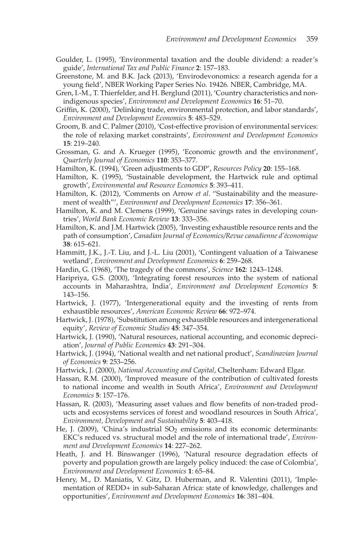- <span id="page-27-17"></span>Goulder, L. (1995), 'Environmental taxation and the double dividend: a reader's guide', *International Tax and Public Finance* **2**: 157–183.
- <span id="page-27-0"></span>Greenstone, M. and B.K. Jack (2013), 'Envirodevonomics: a research agenda for a young field', NBER Working Paper Series No. 19426. NBER, Cambridge, MA.
- <span id="page-27-22"></span>Gren, I.-M., T. Thierfelder, and H. Berglund (2011), 'Country characteristics and nonindigenous species', *Environment and Development Economics* **16**: 51–70.
- <span id="page-27-21"></span>Griffin, K. (2000), 'Delinking trade, environmental protection, and labor standards', *Environment and Development Economics* **5**: 483–529.
- <span id="page-27-15"></span>Groom, B. and C. Palmer (2010), 'Cost-effective provision of environmental services: the role of relaxing market constraints', *Environment and Development Economics* **15**: 219–240.
- <span id="page-27-2"></span>Grossman, G. and A. Krueger (1995), 'Economic growth and the environment', *Quarterly Journal of Economics* **110**: 353–377.
- <span id="page-27-13"></span>Hamilton, K. (1994), 'Green adjustments to GDP', *Resources Policy* **20**: 155–168.
- <span id="page-27-19"></span>Hamilton, K. (1995), 'Sustainable development, the Hartwick rule and optimal growth', *Environmental and Resource Economics* **5**: 393–411.
- <span id="page-27-14"></span>Hamilton, K. (2012), 'Comments on Arrow *et al*. "Sustainability and the measurement of wealth"', *Environment and Development Economics* **17**: 356–361.
- <span id="page-27-4"></span>Hamilton, K. and M. Clemens (1999), 'Genuine savings rates in developing countries', *World Bank Economic Review* **13**: 333–356.
- <span id="page-27-20"></span>Hamilton, K. and J.M. Hartwick (2005), 'Investing exhaustible resource rents and the path of consumption', *Canadian Journal of Economics/Revue canadienne d'´economique* **38**: 615–621.
- <span id="page-27-3"></span>Hammitt, J.K., J.-T. Liu, and J.-L. Liu (2001), 'Contingent valuation of a Taiwanese wetland', *Environment and Development Economics* **6**: 259–268.
- <span id="page-27-16"></span>Hardin, G. (1968), 'The tragedy of the commons', *Science* **162**: 1243–1248.
- <span id="page-27-5"></span>Haripriya, G.S. (2000), 'Integrating forest resources into the system of national accounts in Maharashtra, India', *Environment and Development Economics* **5**: 143–156.
- <span id="page-27-8"></span>Hartwick, J. (1977), 'Intergenerational equity and the investing of rents from exhaustible resources', *American Economic Review* **66**: 972–974.
- <span id="page-27-9"></span>Hartwick, J. (1978), 'Substitution among exhaustible resources and intergenerational equity', *Review of Economic Studies* **45**: 347–354.
- <span id="page-27-10"></span>Hartwick, J. (1990), 'Natural resources, national accounting, and economic depreciation', *Journal of Public Economics* **43**: 291–304.
- <span id="page-27-11"></span>Hartwick, J. (1994), 'National wealth and net national product', *Scandinavian Journal of Economics* **9**: 253–256.
- <span id="page-27-12"></span>Hartwick, J. (2000), *National Accounting and Capital*, Cheltenham: Edward Elgar.
- <span id="page-27-6"></span>Hassan, R.M. (2000), 'Improved measure of the contribution of cultivated forests to national income and wealth in South Africa', *Environment and Development Economics* **5**: 157–176.
- <span id="page-27-7"></span>Hassan, R. (2003), 'Measuring asset values and flow benefits of non-traded products and ecosystems services of forest and woodland resources in South Africa', *Environment, Development and Sustainability* **5**: 403–418.
- <span id="page-27-23"></span>He, J. (2009), 'China's industrial  $SO<sub>2</sub>$  emissions and its economic determinants: EKC's reduced vs. structural model and the role of international trade', *Environment and Development Economics* **14**: 227–262.
- <span id="page-27-1"></span>Heath, J. and H. Binswanger (1996), 'Natural resource degradation effects of poverty and population growth are largely policy induced: the case of Colombia', *Environment and Development Economics* **1**: 65–84.
- <span id="page-27-18"></span>Henry, M., D. Maniatis, V. Gitz, D. Huberman, and R. Valentini (2011), 'Implementation of REDD+ in sub-Saharan Africa: state of knowledge, challenges and opportunities', *Environment and Development Economics* **16**: 381–404.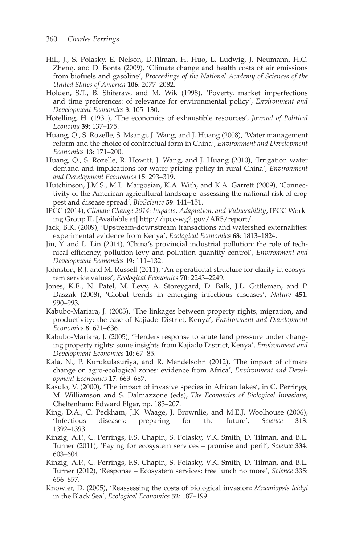- <span id="page-28-6"></span>Hill, J., S. Polasky, E. Nelson, D.Tilman, H. Huo, L. Ludwig, J. Neumann, H.C. Zheng, and D. Bonta (2009), 'Climate change and health costs of air emissions from biofuels and gasoline', *Proceedings of the National Academy of Sciences of the United States of America* **106**: 2077–2082.
- <span id="page-28-0"></span>Holden, S.T., B. Shiferaw, and M. Wik (1998), 'Poverty, market imperfections and time preferences: of relevance for environmental policy', *Environment and Development Economics* **3**: 105–130.
- <span id="page-28-9"></span>Hotelling, H. (1931), 'The economics of exhaustible resources', *Journal of Political Economy* **39**: 137–175.
- <span id="page-28-16"></span>Huang, Q., S. Rozelle, S. Msangi, J. Wang, and J. Huang (2008), 'Water management reform and the choice of contractual form in China', *Environment and Development Economics* **13**: 171–200.
- <span id="page-28-17"></span>Huang, Q., S. Rozelle, R. Howitt, J. Wang, and J. Huang (2010), 'Irrigation water demand and implications for water pricing policy in rural China', *Environment and Development Economics* **15**: 293–319.
- <span id="page-28-7"></span>Hutchinson, J.M.S., M.L. Margosian, K.A. With, and K.A. Garrett (2009), 'Connectivity of the American agricultural landscape: assessing the national risk of crop pest and disease spread', *BioScience* **59**: 141–151.
- <span id="page-28-11"></span>IPCC (2014), *Climate Change 2014: Impacts, Adaptation, and Vulnerability*, IPCC Working Group II, [Available at] http://ipcc-wg2.gov/AR5/report/.
- <span id="page-28-4"></span>Jack, B.K. (2009), 'Upstream-downstream transactions and watershed externalities: experimental evidence from Kenya', *Ecological Economics* **68**: 1813–1824.
- <span id="page-28-15"></span>Jin, Y. and L. Lin (2014), 'China's provincial industrial pollution: the role of technical efficiency, pollution levy and pollution quantity control', *Environment and Development Economics* **19**: 111–132.
- <span id="page-28-1"></span>Johnston, R.J. and M. Russell (2011), 'An operational structure for clarity in ecosystem service values', *Ecological Economics* **70**: 2243–2249.
- <span id="page-28-14"></span>Jones, K.E., N. Patel, M. Levy, A. Storeygard, D. Balk, J.L. Gittleman, and P. Daszak (2008), 'Global trends in emerging infectious diseases', *Nature* **451**: 990–993.
- <span id="page-28-2"></span>Kabubo-Mariara, J. (2003), 'The linkages between property rights, migration, and productivity: the case of Kajiado District, Kenya', *Environment and Development Economics* **8**: 621–636.
- <span id="page-28-3"></span>Kabubo-Mariara, J. (2005), 'Herders response to acute land pressure under changing property rights: some insights from Kajiado District, Kenya', *Environment and Development Economics* **10**: 67–85.
- <span id="page-28-10"></span>Kala, N., P. Kurukulasuriya, and R. Mendelsohn (2012), 'The impact of climate change on agro-ecological zones: evidence from Africa', *Environment and Development Economics* **17**: 663–687.
- <span id="page-28-12"></span>Kasulo, V. (2000), 'The impact of invasive species in African lakes', in C. Perrings, M. Williamson and S. Dalmazzone (eds), *The Economics of Biological Invasions*, Cheltenham: Edward Elgar, pp. 183–207.
- <span id="page-28-18"></span>King, D.A., C. Peckham, J.K. Waage, J. Brownlie, and M.E.J. Woolhouse (2006), 'Infectious diseases: preparing for the future', *Science* **313**: 1392–1393.
- <span id="page-28-5"></span>Kinzig, A.P., C. Perrings, F.S. Chapin, S. Polasky, V.K. Smith, D. Tilman, and B.L. Turner (2011), 'Paying for ecosystem services – promise and peril', *Science* **334**: 603–604.
- <span id="page-28-8"></span>Kinzig, A.P., C. Perrings, F.S. Chapin, S. Polasky, V.K. Smith, D. Tilman, and B.L. Turner (2012), 'Response – Ecosystem services: free lunch no more', *Science* **335**: 656–657.
- <span id="page-28-13"></span>Knowler, D. (2005), 'Reassessing the costs of biological invasion: *Mnemiopsis leidyi* in the Black Sea', *Ecological Economics* **52**: 187–199.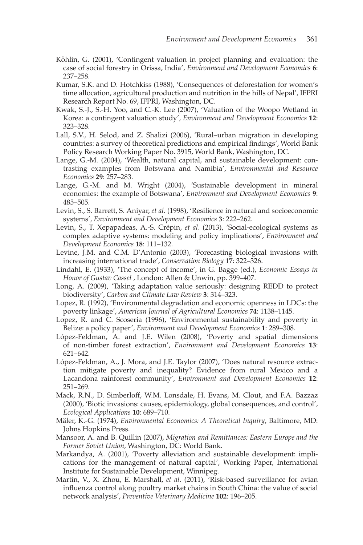- <span id="page-29-7"></span>Köhlin, G. (2001), 'Contingent valuation in project planning and evaluation: the case of social forestry in Orissa, India', *Environment and Development Economics* **6**: 237–258.
- <span id="page-29-1"></span>Kumar, S.K. and D. Hotchkiss (1988), 'Consequences of deforestation for women's time allocation, agricultural production and nutrition in the hills of Nepal', IFPRI Research Report No. 69, IFPRI, Washington, DC.
- <span id="page-29-6"></span>Kwak, S.-J., S.-H. Yoo, and C.-K. Lee (2007), 'Valuation of the Woopo Wetland in Korea: a contingent valuation study', *Environment and Development Economics* **12**: 323–328.
- <span id="page-29-4"></span>Lall, S.V., H. Selod, and Z. Shalizi (2006), 'Rural–urban migration in developing countries: a survey of theoretical predictions and empirical findings', World Bank Policy Research Working Paper No. 3915, World Bank, Washington, DC.
- <span id="page-29-9"></span>Lange, G.-M. (2004), 'Wealth, natural capital, and sustainable development: contrasting examples from Botswana and Namibia', *Environmental and Resource Economics* **29**: 257–283.
- <span id="page-29-10"></span>Lange, G.-M. and M. Wright (2004), 'Sustainable development in mineral economies: the example of Botswana', *Environment and Development Economics* **9**: 485–505.
- <span id="page-29-18"></span>Levin, S., S. Barrett, S. Aniyar, *et al*. (1998), 'Resilience in natural and socioeconomic systems', *Environment and Development Economics* **3**: 222–262.
- <span id="page-29-19"></span>Levin, S., T. Xepapadeas, A.-S. Crépin, et al. (2013), 'Social-ecological systems as complex adaptive systems: modeling and policy implications', *Environment and Development Economics* **18**: 111–132.
- <span id="page-29-14"></span>Levine, J.M. and C.M. D'Antonio (2003), 'Forecasting biological invasions with increasing international trade', *Conservation Biology* **17**: 322–326.
- <span id="page-29-8"></span>Lindahl, E. (1933), 'The concept of income', in G. Bagge (ed.), *Economic Essays in Honor of Gustav Cassel* , London: Allen & Unwin, pp. 399–407.
- <span id="page-29-11"></span>Long, A. (2009), 'Taking adaptation value seriously: designing REDD to protect biodiversity', *Carbon and Climate Law Review* **3**: 314–323.
- <span id="page-29-2"></span>Lopez, R. (1992), 'Environmental degradation and economic openness in LDCs: the poverty linkage', *American Journal of Agricultural Economics* **74**: 1138–1145.
- <span id="page-29-3"></span>Lopez, R. and C. Scoseria (1996), 'Environmental sustainability and poverty in Belize: a policy paper', *Environment and Development Economics* **1**: 289–308.
- <span id="page-29-16"></span>López-Feldman, A. and J.E. Wilen (2008), 'Poverty and spatial dimensions of non-timber forest extraction', *Environment and Development Economics* **13**: 621–642.
- <span id="page-29-15"></span>López-Feldman, A., J. Mora, and J.E. Taylor (2007), 'Does natural resource extraction mitigate poverty and inequality? Evidence from rural Mexico and a Lacandona rainforest community', *Environment and Development Economics* **12**: 251–269.
- <span id="page-29-13"></span>Mack, R.N., D. Simberloff, W.M. Lonsdale, H. Evans, M. Clout, and F.A. Bazzaz (2000), 'Biotic invasions: causes, epidemiology, global consequences, and control', *Ecological Applications* **10**: 689–710.
- <span id="page-29-12"></span>Mäler, K.-G. (1974), *Environmental Economics: A Theoretical Inquiry*, Baltimore, MD: Johns Hopkins Press.
- <span id="page-29-5"></span>Mansoor, A. and B. Quillin (2007), *Migration and Remittances: Eastern Europe and the Former Soviet Union,* Washington, DC: World Bank.
- <span id="page-29-0"></span>Markandya, A. (2001), 'Poverty alleviation and sustainable development: implications for the management of natural capital', Working Paper, International Institute for Sustainable Development, Winnipeg.
- <span id="page-29-17"></span>Martin, V., X. Zhou, E. Marshall, *et al*. (2011), 'Risk-based surveillance for avian influenza control along poultry market chains in South China: the value of social network analysis', *Preventive Veterinary Medicine* **102**: 196–205.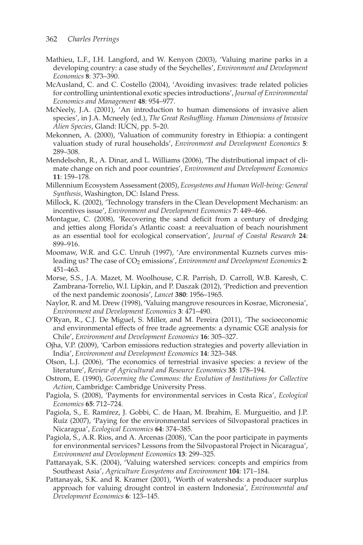- <span id="page-30-5"></span>Mathieu, L.F., I.H. Langford, and W. Kenyon (2003), 'Valuing marine parks in a developing country: a case study of the Seychelles', *Environment and Development Economics* **8**: 373–390.
- <span id="page-30-17"></span>McAusland, C. and C. Costello (2004), 'Avoiding invasives: trade related policies for controlling unintentional exotic species introductions', *Journal of Environmental Economics and Management* **48**: 954–977.
- <span id="page-30-16"></span>McNeely, J.A. (2001), 'An introduction to human dimensions of invasive alien species', in J.A. Mcneely (ed.), *The Great Reshuffling. Human Dimensions of Invasive Alien Species*, Gland: IUCN, pp. 5–20.
- <span id="page-30-3"></span>Mekonnen, A. (2000), 'Valuation of community forestry in Ethiopia: a contingent valuation study of rural households', *Environment and Development Economics* **5**: 289–308.
- <span id="page-30-14"></span>Mendelsohn, R., A. Dinar, and L. Williams (2006), 'The distributional impact of climate change on rich and poor countries', *Environment and Development Economics* **11**: 159–178.
- <span id="page-30-0"></span>Millennium Ecosystem Assessment (2005), *Ecosystems and Human Well-being: General Synthesis*, Washington, DC: Island Press.
- <span id="page-30-13"></span>Millock, K. (2002), 'Technology transfers in the Clean Development Mechanism: an incentives issue', *Environment and Development Economics* **7**: 449–466.
- <span id="page-30-11"></span>Montague, C. (2008), 'Recovering the sand deficit from a century of dredging and jetties along Florida's Atlantic coast: a reevaluation of beach nourishment as an essential tool for ecological conservation', *Journal of Coastal Research* **24**: 899–916.
- <span id="page-30-2"></span>Moomaw, W.R. and G.C. Unruh (1997), 'Are environmental Kuznets curves misleading us? The case of  $CO<sub>2</sub>$  emissions', *Environment and Development Economics* 2: 451–463.
- <span id="page-30-19"></span>Morse, S.S., J.A. Mazet, M. Woolhouse, C.R. Parrish, D. Carroll, W.B. Karesh, C. Zambrana-Torrelio, W.I. Lipkin, and P. Daszak (2012), 'Prediction and prevention of the next pandemic zoonosis', *Lancet* **380**: 1956–1965.
- <span id="page-30-4"></span>Naylor, R. and M. Drew (1998), 'Valuing mangrove resources in Kosrae, Micronesia', *Environment and Development Economics* **3**: 471–490.
- <span id="page-30-12"></span>O'Ryan, R., C.J. De Miguel, S. Miller, and M. Pereira (2011), 'The socioeconomic and environmental effects of free trade agreements: a dynamic CGE analysis for Chile', *Environment and Development Economics* **16**: 305–327.
- <span id="page-30-18"></span>Ojha, V.P. (2009), 'Carbon emissions reduction strategies and poverty alleviation in India', *Environment and Development Economics* **14**: 323–348.
- <span id="page-30-15"></span>Olson, L.J. (2006), 'The economics of terrestrial invasive species: a review of the literature', *Review of Agricultural and Resource Economics* **35**: 178–194.
- <span id="page-30-1"></span>Ostrom, E. (1990), *Governing the Commons: the Evolution of Institutions for Collective Action*, Cambridge: Cambridge University Press.
- <span id="page-30-9"></span>Pagiola, S. (2008), 'Payments for environmental services in Costa Rica', *Ecological Economics* **65**: 712–724.
- <span id="page-30-8"></span>Pagiola, S., E. Ramírez, J. Gobbi, C. de Haan, M. Ibrahim, E. Murgueitio, and J.P. Ruíz (2007), 'Paying for the environmental services of Silvopastoral practices in Nicaragua', *Ecological Economics* **64**: 374–385.
- <span id="page-30-10"></span>Pagiola, S., A.R. Rios, and A. Arcenas (2008), 'Can the poor participate in payments for environmental services? Lessons from the Silvopastoral Project in Nicaragua', *Environment and Development Economics* **13**: 299–325.
- <span id="page-30-7"></span>Pattanayak, S.K. (2004), 'Valuing watershed services: concepts and empirics from Southeast Asia', *Agriculture Ecosystems and Environment* **104**: 171–184.
- <span id="page-30-6"></span>Pattanayak, S.K. and R. Kramer (2001), 'Worth of watersheds: a producer surplus approach for valuing drought control in eastern Indonesia', *Environmental and Development Economics* **6**: 123–145.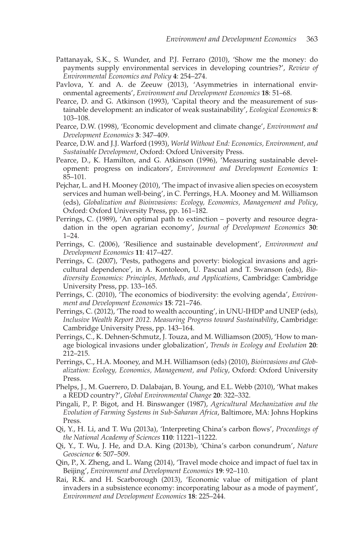- <span id="page-31-5"></span>Pattanayak, S.K., S. Wunder, and P.J. Ferraro (2010), 'Show me the money: do payments supply environmental services in developing countries?', *Review of Environmental Economics and Policy* **4**: 254–274.
- <span id="page-31-17"></span>Pavlova, Y. and A. de Zeeuw (2013), 'Asymmetries in international environmental agreements', *Environment and Development Economics* **18**: 51–68.
- <span id="page-31-2"></span>Pearce, D. and G. Atkinson (1993), 'Capital theory and the measurement of sustainable development: an indicator of weak sustainability', *Ecological Economics* **8**: 103–108.
- <span id="page-31-7"></span>Pearce, D.W. (1998), 'Economic development and climate change', *Environment and Development Economics* **3**: 347–409.
- Pearce, D.W. and J.J. Warford (1993), *World Without End: Economics, Environment, and Sustainable Development*, Oxford: Oxford University Press.
- <span id="page-31-3"></span>Pearce, D., K. Hamilton, and G. Atkinson (1996), 'Measuring sustainable development: progress on indicators', *Environment and Development Economics* **1**: 85–101.
- <span id="page-31-10"></span>Pejchar, L. and H. Mooney (2010), 'The impact of invasive alien species on ecosystem services and human well-being', in C. Perrings, H.A. Mooney and M. Williamson (eds), *Globalization and Bioinvasions: Ecology, Economics, Management and Policy*, Oxford: Oxford University Press, pp. 161–182.
- <span id="page-31-0"></span>Perrings, C. (1989), 'An optimal path to extinction – poverty and resource degradation in the open agrarian economy', *Journal of Development Economics* **30**: 1–24.
- <span id="page-31-18"></span>Perrings, C. (2006), 'Resilience and sustainable development', *Environment and Development Economics* **11**: 417–427.
- <span id="page-31-12"></span>Perrings, C. (2007), 'Pests, pathogens and poverty: biological invasions and agricultural dependence', in A. Kontoleon, U. Pascual and T. Swanson (eds), *Biodiversity Economics: Principles, Methods, and Applications*, Cambridge: Cambridge University Press, pp. 133–165.
- <span id="page-31-8"></span>Perrings, C. (2010), 'The economics of biodiversity: the evolving agenda', *Environment and Development Economics* **15**: 721–746.
- <span id="page-31-4"></span>Perrings, C. (2012), 'The road to wealth accounting', in UNU-IHDP and UNEP (eds), *Inclusive Wealth Report 2012. Measuring Progress toward Sustainability*, Cambridge: Cambridge University Press, pp. 143–164.
- <span id="page-31-11"></span>Perrings, C., K. Dehnen-Schmutz, J. Touza, and M. Williamson (2005), 'How to manage biological invasions under globalization', *Trends in Ecology and Evolution* **20**: 212–215.
- <span id="page-31-9"></span>Perrings, C., H.A. Mooney, and M.H. Williamson (eds) (2010), *Bioinvasions and Globalization: Ecology, Economics, Management, and Policy*, Oxford: Oxford University Press.
- <span id="page-31-6"></span>Phelps, J., M. Guerrero, D. Dalabajan, B. Young, and E.L. Webb (2010), 'What makes a REDD country?', *Global Environmental Change* **20**: 322–332.
- <span id="page-31-1"></span>Pingali, P., P. Bigot, and H. Binswanger (1987), *Agricultural Mechanization and the Evolution of Farming Systems in Sub-Saharan Africa*, Baltimore, MA: Johns Hopkins Press.
- <span id="page-31-15"></span>Qi, Y., H. Li, and T. Wu (2013a), 'Interpreting China's carbon flows', *Proceedings of the National Academy of Sciences* **110**: 11221–11222.
- <span id="page-31-16"></span>Qi, Y., T. Wu, J. He, and D.A. King (2013b), 'China's carbon conundrum', *Nature Geoscience* **6**: 507–509.
- <span id="page-31-14"></span>Qin, P., X. Zheng, and L. Wang (2014), 'Travel mode choice and impact of fuel tax in Beijing', *Environment and Development Economics* **19**: 92–110.
- <span id="page-31-13"></span>Rai, R.K. and H. Scarborough (2013), 'Economic value of mitigation of plant invaders in a subsistence economy: incorporating labour as a mode of payment', *Environment and Development Economics* **18**: 225–244.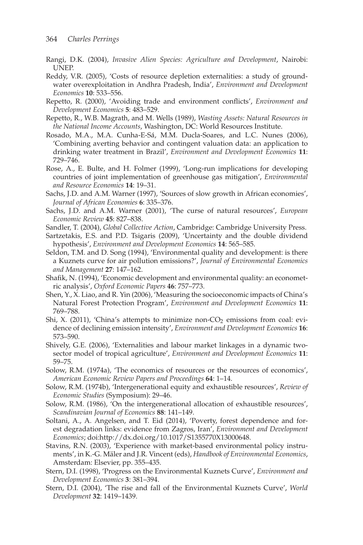- <span id="page-32-18"></span>Rangi, D.K. (2004), *Invasive Alien Species: Agriculture and Development*, Nairobi: UNEP.
- <span id="page-32-10"></span>Reddy, V.R. (2005), 'Costs of resource depletion externalities: a study of groundwater overexploitation in Andhra Pradesh, India', *Environment and Development Economics* **10**: 533–556.
- <span id="page-32-16"></span>Repetto, R. (2000), 'Avoiding trade and environment conflicts', *Environment and Development Economics* **5**: 483–529.
- <span id="page-32-6"></span>Repetto, R., W.B. Magrath, and M. Wells (1989), *Wasting Assets: Natural Resources in the National Income Accounts*, Washington, DC: World Resources Institute.
- <span id="page-32-5"></span>Rosado, M.A., M.A. Cunha-E-Sá, M.M. Ducla-Soares, and L.C. Nunes (2006), 'Combining averting behavior and contingent valuation data: an application to drinking water treatment in Brazil', *Environment and Development Economics* **11**: 729–746.
- <span id="page-32-17"></span>Rose, A., E. Bulte, and H. Folmer (1999), 'Long-run implications for developing countries of joint implementation of greenhouse gas mitigation', *Environmental and Resource Economics* **14**: 19–31.
- <span id="page-32-14"></span>Sachs, J.D. and A.M. Warner (1997), 'Sources of slow growth in African economies', *Journal of African Economies* **6**: 335–376.
- <span id="page-32-15"></span>Sachs, J.D. and A.M. Warner (2001), 'The curse of natural resources', *European Economic Review* **45**: 827–838.
- <span id="page-32-21"></span>Sandler, T. (2004), *Global Collective Action*, Cambridge: Cambridge University Press.
- <span id="page-32-12"></span>Sartzetakis, E.S. and P.D. Tsigaris (2009), 'Uncertainty and the double dividend hypothesis', *Environment and Development Economics* **14**: 565–585.
- <span id="page-32-3"></span>Seldon, T.M. and D. Song (1994), 'Environmental quality and development: is there a Kuznets curve for air pollution emissions?', *Journal of Environmental Economics and Management* **27**: 147–162.
- <span id="page-32-4"></span>Shafik, N. (1994), 'Economic development and environmental quality: an econometric analysis', *Oxford Economic Papers* **46**: 757–773.
- <span id="page-32-20"></span>Shen, Y., X. Liao, and R. Yin (2006), 'Measuring the socioeconomic impacts of China's Natural Forest Protection Program', *Environment and Development Economics* **11**: 769–788.
- <span id="page-32-19"></span>Shi, X. (2011), 'China's attempts to minimize non- $CO<sub>2</sub>$  emissions from coal: evidence of declining emission intensity', *Environment and Development Economics* **16**: 573–590.
- <span id="page-32-11"></span>Shively, G.E. (2006), 'Externalities and labour market linkages in a dynamic twosector model of tropical agriculture', *Environment and Development Economics* **11**: 59–75.
- <span id="page-32-7"></span>Solow, R.M. (1974a), 'The economics of resources or the resources of economics', *American Economic Review Papers and Proceedings* **64**: 1–14.
- <span id="page-32-8"></span>Solow, R.M. (1974b), 'Intergenerational equity and exhaustible resources', *Review of Economic Studies* (Symposium): 29–46.
- <span id="page-32-9"></span>Solow, R.M. (1986), 'On the intergenerational allocation of exhaustible resources', *Scandinavian Journal of Economics* **88**: 141–149.
- <span id="page-32-0"></span>Soltani, A., A. Angelsen, and T. Eid (2014), 'Poverty, forest dependence and forest degradation links: evidence from Zagros, Iran', *Environment and Development Economics*; doi:http://dx.doi.org/10.1017/S1355770X13000648.
- <span id="page-32-13"></span>Stavins, R.N. (2003), 'Experience with market-based environmental policy instruments', in K.-G. Mäler and J.R. Vincent (eds), *Handbook of Environmental Economics*, Amsterdam: Elsevier, pp. 355–435.
- <span id="page-32-1"></span>Stern, D.I. (1998), 'Progress on the Environmental Kuznets Curve', *Environment and Development Economics* **3**: 381–394.
- <span id="page-32-2"></span>Stern, D.I. (2004), 'The rise and fall of the Environmental Kuznets Curve', *World Development* **32**: 1419–1439.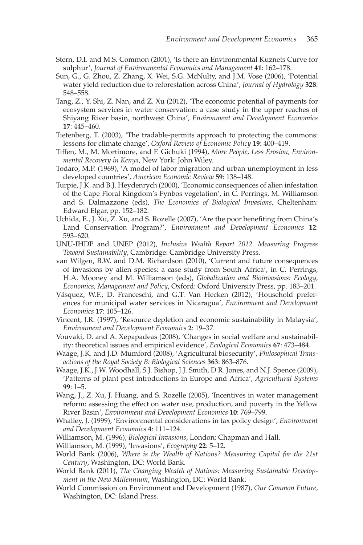- <span id="page-33-3"></span>Stern, D.I. and M.S. Common (2001), 'Is there an Environmental Kuznets Curve for sulphur', *Journal of Environmental Economics and Management* **41**: 162–178.
- <span id="page-33-20"></span>Sun, G., G. Zhou, Z. Zhang, X. Wei, S.G. McNulty, and J.M. Vose (2006), 'Potential water yield reduction due to reforestation across China', *Journal of Hydrology* **328**: 548–558.
- <span id="page-33-21"></span>Tang, Z., Y. Shi, Z. Nan, and Z. Xu (2012), 'The economic potential of payments for ecosystem services in water conservation: a case study in the upper reaches of Shiyang River basin, northwest China', *Environment and Development Economics* **17**: 445–460.
- <span id="page-33-11"></span>Tietenberg, T. (2003), 'The tradable-permits approach to protecting the commons: lessons for climate change', *Oxford Review of Economic Policy* **19**: 400–419.
- <span id="page-33-2"></span>Tiffen, M., M. Mortimore, and F. Gichuki (1994), *More People, Less Erosion, Environmental Recovery in Kenya*, New York: John Wiley.
- <span id="page-33-1"></span>Todaro, M.P. (1969), 'A model of labor migration and urban unemployment in less developed countries', *American Economic Review* **59**: 138–148.
- <span id="page-33-14"></span>Turpie, J.K. and B.J. Heydenrych (2000), 'Economic consequences of alien infestation of the Cape Floral Kingdom's Fynbos vegetation', in C. Perrings, M. Williamson and S. Dalmazzone (eds), *The Economics of Biological Invasions*, Cheltenham: Edward Elgar, pp. 152–182.
- <span id="page-33-19"></span>Uchida, E., J. Xu, Z. Xu, and S. Rozelle (2007), 'Are the poor benefiting from China's Land Conservation Program?', *Environment and Development Economics* **12**: 593–620.
- <span id="page-33-8"></span>UNU-IHDP and UNEP (2012), *Inclusive Wealth Report 2012. Measuring Progress Toward Sustainability*, Cambridge: Cambridge University Press.
- <span id="page-33-15"></span>van Wilgen, B.W. and D.M. Richardson (2010), 'Current and future consequences of invasions by alien species: a case study from South Africa', in C. Perrings, H.A. Mooney and M. Williamson (eds), *Globalization and Bioinvasions: Ecology, Economics, Management and Policy*, Oxford: Oxford University Press, pp. 183–201.
- <span id="page-33-4"></span>Vásquez, W.F., D. Franceschi, and G.T. Van Hecken (2012), 'Household preferences for municipal water services in Nicaragua', *Environment and Development Economics* **17**: 105–126.
- <span id="page-33-10"></span>Vincent, J.R. (1997), 'Resource depletion and economic sustainability in Malaysia', *Environment and Development Economics* **2**: 19–37.
- <span id="page-33-5"></span>Vouvaki, D. and A. Xepapadeas (2008), 'Changes in social welfare and sustainability: theoretical issues and empirical evidence', *Ecological Economics* **67**: 473–484.
- <span id="page-33-17"></span>Waage, J.K. and J.D. Mumford (2008), 'Agricultural biosecurity', *Philosophical Transactions of the Royal Society B: Biological Sciences* **363**: 863–876.
- <span id="page-33-16"></span>Waage, J.K., J.W. Woodhall, S.J. Bishop, J.J. Smith, D.R. Jones, and N.J. Spence (2009), 'Patterns of plant pest introductions in Europe and Africa', *Agricultural Systems* **99**: 1–5.
- <span id="page-33-18"></span>Wang, J., Z. Xu, J. Huang, and S. Rozelle (2005), 'Incentives in water management reform: assessing the effect on water use, production, and poverty in the Yellow River Basin', *Environment and Development Economics* **10**: 769–799.
- <span id="page-33-9"></span>Whalley, J. (1999), 'Environmental considerations in tax policy design', *Environment and Development Economics* **4**: 111–124.
- <span id="page-33-12"></span>Williamson, M. (1996), *Biological Invasions*, London: Chapman and Hall.
- <span id="page-33-13"></span>Williamson, M. (1999), 'Invasions', *Ecography* **22**: 5–12.
- <span id="page-33-6"></span>World Bank (2006), *Where is the Wealth of Nations? Measuring Capital for the 21st Century*, Washington, DC: World Bank.
- <span id="page-33-7"></span>World Bank (2011), *The Changing Wealth of Nations: Measuring Sustainable Development in the New Millennium*, Washington, DC: World Bank.
- <span id="page-33-0"></span>World Commission on Environment and Development (1987), *Our Common Future*, Washington, DC: Island Press.